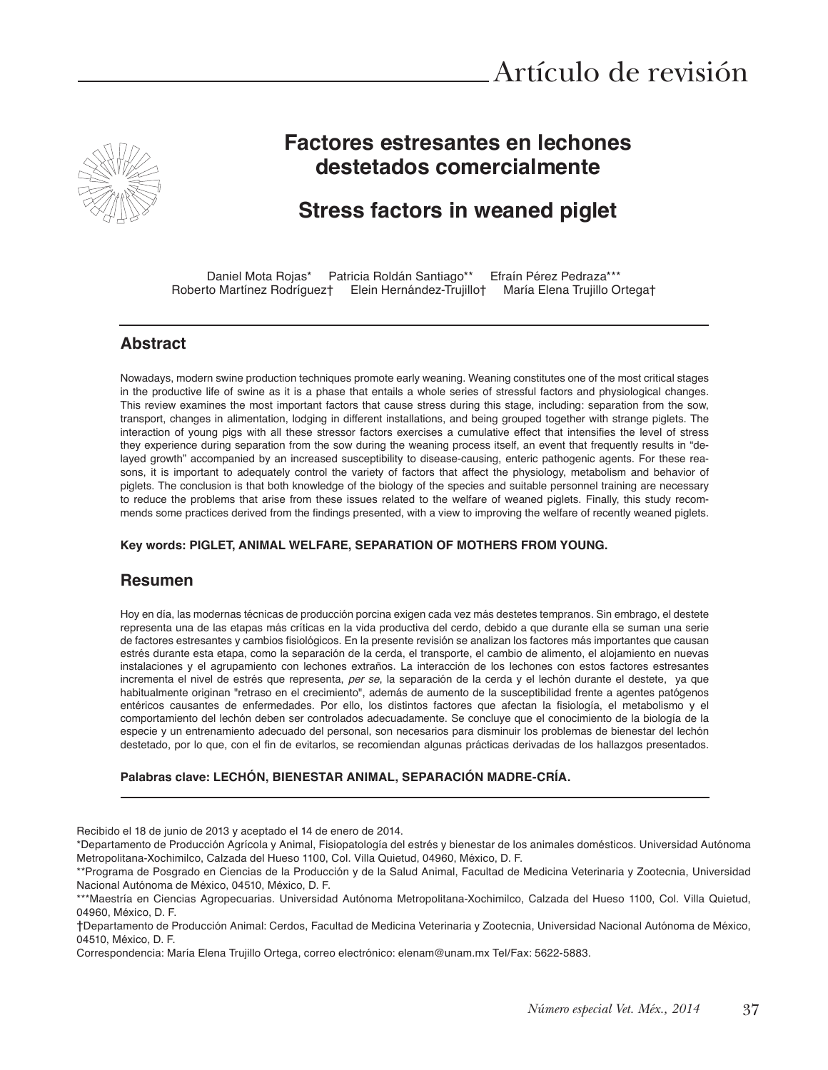

# **Factores estresantes en lechones destetados comercialmente**

# **Stress factors in weaned piglet**

Daniel Mota Rojas\* Patricia Roldán Santiago\*\* Efraín Pérez Pedraza\*\*\*<br>to Martínez Rodríguez† Elein Hernández-Trujillo† María Elena Trujillo Ortega† Roberto Martínez Rodríguez† Elein Hernández-Trujillo†

#### **Abstract**

Nowadays, modern swine production techniques promote early weaning. Weaning constitutes one of the most critical stages in the productive life of swine as it is a phase that entails a whole series of stressful factors and physiological changes. This review examines the most important factors that cause stress during this stage, including: separation from the sow, transport, changes in alimentation, lodging in different installations, and being grouped together with strange piglets. The interaction of young pigs with all these stressor factors exercises a cumulative effect that intensifies the level of stress they experience during separation from the sow during the weaning process itself, an event that frequently results in "delayed growth" accompanied by an increased susceptibility to disease-causing, enteric pathogenic agents. For these reasons, it is important to adequately control the variety of factors that affect the physiology, metabolism and behavior of piglets. The conclusion is that both knowledge of the biology of the species and suitable personnel training are necessary to reduce the problems that arise from these issues related to the welfare of weaned piglets. Finally, this study recommends some practices derived from the findings presented, with a view to improving the welfare of recently weaned piglets.

#### **Key words: PIGLET, ANIMAL WELFARE, SEPARATION OF MOTHERS FROM YOUNG.**

#### **Resumen**

Hoy en día, las modernas técnicas de producción porcina exigen cada vez más destetes tempranos. Sin embrago, el destete representa una de las etapas más críticas en la vida productiva del cerdo, debido a que durante ella se suman una serie de factores estresantes y cambios fisiológicos. En la presente revisión se analizan los factores más importantes que causan estrés durante esta etapa, como la separación de la cerda, el transporte, el cambio de alimento, el alojamiento en nuevas instalaciones y el agrupamiento con lechones extraños. La interacción de los lechones con estos factores estresantes incrementa el nivel de estrés que representa, per se, la separación de la cerda y el lechón durante el destete, ya que habitualmente originan "retraso en el crecimiento", además de aumento de la susceptibilidad frente a agentes patógenos entéricos causantes de enfermedades. Por ello, los distintos factores que afectan la fisiología, el metabolismo y el comportamiento del lechón deben ser controlados adecuadamente. Se concluye que el conocimiento de la biología de la especie y un entrenamiento adecuado del personal, son necesarios para disminuir los problemas de bienestar del lechón destetado, por lo que, con el fin de evitarlos, se recomiendan algunas prácticas derivadas de los hallazgos presentados.

#### **Palabras clave: LECHÓN, BIENESTAR ANIMAL, SEPARACIÓN MADRE-CRÍA.**

Recibido el 18 de junio de 2013 y aceptado el 14 de enero de 2014.

\*Departamento de Producción Agrícola y Animal, Fisiopatología del estrés y bienestar de los animales domésticos. Universidad Autónoma Metropolitana-Xochimilco, Calzada del Hueso 1100, Col. Villa Quietud, 04960, México, D. F.

\*\*Programa de Posgrado en Ciencias de la Producción y de la Salud Animal, Facultad de Medicina Veterinaria y Zootecnia, Universidad Nacional Autónoma de México, 04510, México, D. F.

†Departamento de Producción Animal: Cerdos, Facultad de Medicina Veterinaria y Zootecnia, Universidad Nacional Autónoma de México, 04510. México. D. F.

Correspondencia: María Elena Trujillo Ortega, correo electrónico: elenam@unam.mx Tel/Fax: 5622-5883.

<sup>\*\*\*</sup>Maestría en Ciencias Agropecuarias. Universidad Autónoma Metropolitana-Xochimilco, Calzada del Hueso 1100, Col. Villa Quietud, 04960, México, D. F.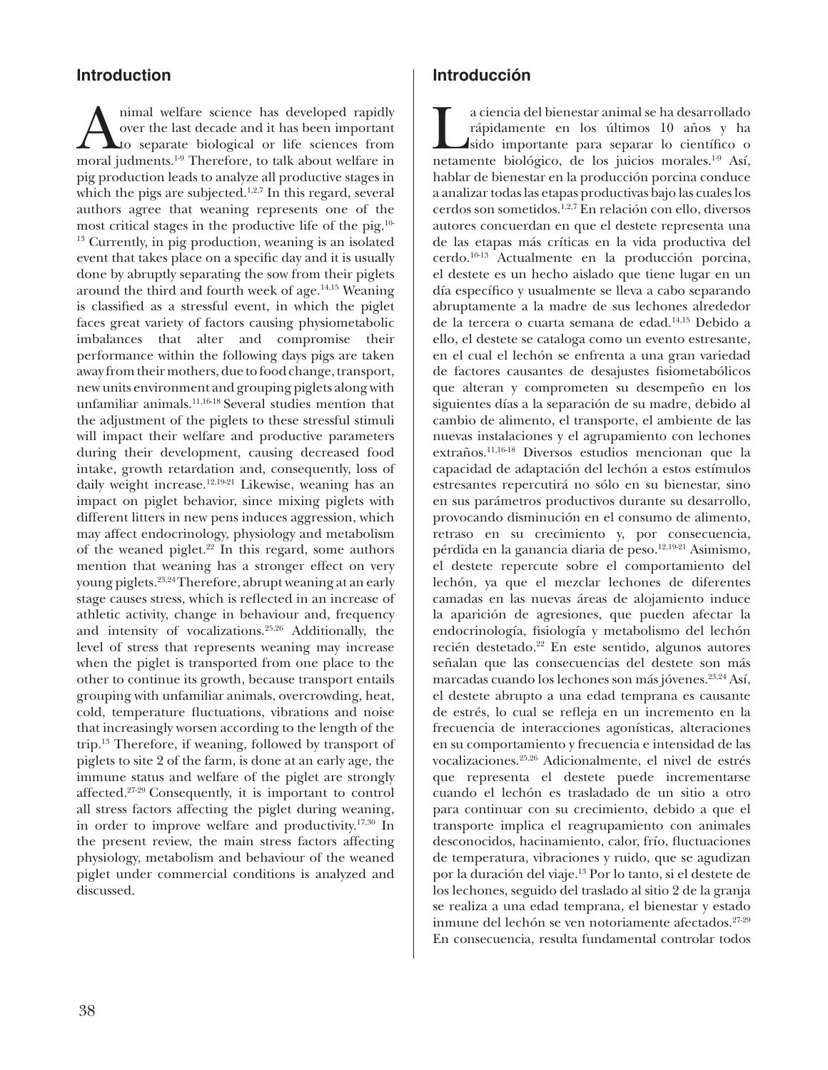## **Introduction**

Animal welfare science has developed rapidly<br>over the last decade and it has been important<br>to separate biological or life sciences from<br>moral judments <sup>19</sup> Therefore, to talk about welfare in over the last decade and it has been important to separate biological or life sciences from moral judments.1-9 Therefore, to talk about welfare in pig production leads to analyze all productive stages in which the pigs are subjected.<sup>1,2,7</sup> In this regard, several authors agree that weaning represents one of the most critical stages in the productive life of the pig.10- 13 Currently, in pig production, weaning is an isolated event that takes place on a specifc day and it is usually done by abruptly separating the sow from their piglets around the third and fourth week of age.<sup>14,15</sup> Weaning is classifed as a stressful event, in which the piglet faces great variety of factors causing physiometabolic imbalances that alter and compromise their performance within the following days pigs are taken away from their mothers, due to food change, transport, new units environment and grouping piglets along with unfamiliar animals.11,16-18 Several studies mention that the adjustment of the piglets to these stressful stimuli will impact their welfare and productive parameters during their development, causing decreased food intake, growth retardation and, consequently, loss of daily weight increase.<sup>12,19-21</sup> Likewise, weaning has an impact on piglet behavior, since mixing piglets with different litters in new pens induces aggression, which may affect endocrinology, physiology and metabolism of the weaned piglet.<sup>22</sup> In this regard, some authors mention that weaning has a stronger effect on very young piglets.23,24 Therefore, abrupt weaning at an early stage causes stress, which is refected in an increase of athletic activity, change in behaviour and, frequency and intensity of vocalizations.25,26 Additionally, the level of stress that represents weaning may increase when the piglet is transported from one place to the other to continue its growth, because transport entails grouping with unfamiliar animals, overcrowding, heat, cold, temperature fuctuations, vibrations and noise that increasingly worsen according to the length of the trip.13 Therefore, if weaning, followed by transport of piglets to site 2 of the farm, is done at an early age, the immune status and welfare of the piglet are strongly affected.27-29 Consequently, it is important to control all stress factors affecting the piglet during weaning, in order to improve welfare and productivity.17,30 In the present review, the main stress factors affecting physiology, metabolism and behaviour of the weaned piglet under commercial conditions is analyzed and discussed.

## **Introducción**

a ciencia del bienestar animal se ha desarrollado<br>rápidamente en los últimos 10 años y ha<br>sido importante para separar lo científico o<br>netamente biológico, de los juicios morales <sup>1,9</sup> Así rápidamente en los últimos 10 años y ha sido importante para separar lo científco o netamente biológico, de los juicios morales.1-9 Así, hablar de bienestar en la producción porcina conduce a analizar todas las etapas productivas bajo las cuales los cerdos son sometidos.1,2,7 En relación con ello, diversos autores concuerdan en que el destete representa una de las etapas más críticas en la vida productiva del cerdo.10-13 Actualmente en la producción porcina, el destete es un hecho aislado que tiene lugar en un día específco y usualmente se lleva a cabo separando abruptamente a la madre de sus lechones alrededor de la tercera o cuarta semana de edad.14,15 Debido a ello, el destete se cataloga como un evento estresante, en el cual el lechón se enfrenta a una gran variedad de factores causantes de desajustes fsiometabólicos que alteran y comprometen su desempeño en los siguientes días a la separación de su madre, debido al cambio de alimento, el transporte, el ambiente de las nuevas instalaciones y el agrupamiento con lechones extraños.11,16-18 Diversos estudios mencionan que la capacidad de adaptación del lechón a estos estímulos estresantes repercutirá no sólo en su bienestar, sino en sus parámetros productivos durante su desarrollo, provocando disminución en el consumo de alimento, retraso en su crecimiento y, por consecuencia, pérdida en la ganancia diaria de peso.<sup>12,19-21</sup> Asimismo, el destete repercute sobre el comportamiento del lechón, ya que el mezclar lechones de diferentes camadas en las nuevas áreas de alojamiento induce la aparición de agresiones, que pueden afectar la endocrinología, fsiología y metabolismo del lechón recién destetado.<sup>22</sup> En este sentido, algunos autores señalan que las consecuencias del destete son más marcadas cuando los lechones son más jóvenes.<sup>23,24</sup> Así, el destete abrupto a una edad temprana es causante de estrés, lo cual se refeja en un incremento en la frecuencia de interacciones agonísticas, alteraciones en su comportamiento y frecuencia e intensidad de las vocalizaciones.25,26 Adicionalmente, el nivel de estrés que representa el destete puede incrementarse cuando el lechón es trasladado de un sitio a otro para continuar con su crecimiento, debido a que el transporte implica el reagrupamiento con animales desconocidos, hacinamiento, calor, frío, fuctuaciones de temperatura, vibraciones y ruido, que se agudizan por la duración del viaje.13 Por lo tanto, si el destete de los lechones, seguido del traslado al sitio 2 de la granja se realiza a una edad temprana, el bienestar y estado inmune del lechón se ven notoriamente afectados.<sup>27-29</sup> En consecuencia, resulta fundamental controlar todos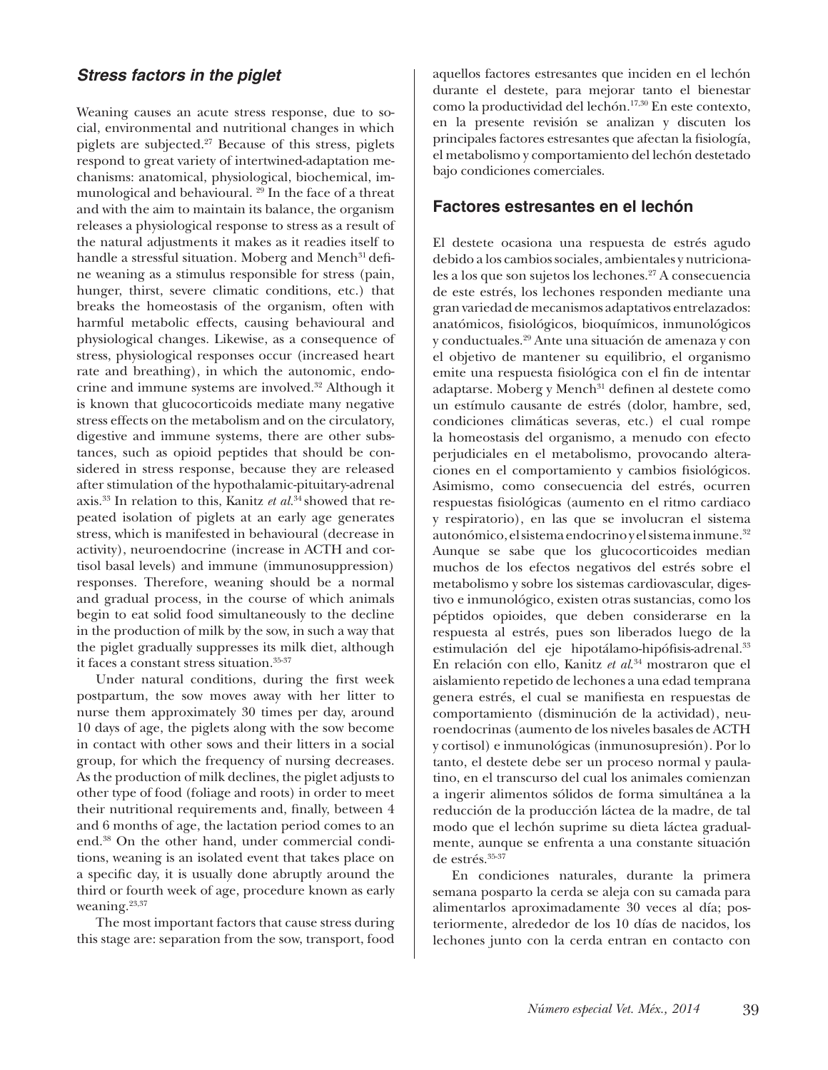## *Stress factors in the piglet*

Weaning causes an acute stress response, due to social, environmental and nutritional changes in which piglets are subjected.27 Because of this stress, piglets respond to great variety of intertwined-adaptation mechanisms: anatomical, physiological, biochemical, immunological and behavioural. 29 In the face of a threat and with the aim to maintain its balance, the organism releases a physiological response to stress as a result of the natural adjustments it makes as it readies itself to handle a stressful situation. Moberg and Mench<sup>31</sup> define weaning as a stimulus responsible for stress (pain, hunger, thirst, severe climatic conditions, etc.) that breaks the homeostasis of the organism, often with harmful metabolic effects, causing behavioural and physiological changes. Likewise, as a consequence of stress, physiological responses occur (increased heart rate and breathing), in which the autonomic, endocrine and immune systems are involved.32 Although it is known that glucocorticoids mediate many negative stress effects on the metabolism and on the circulatory, digestive and immune systems, there are other substances, such as opioid peptides that should be considered in stress response, because they are released after stimulation of the hypothalamic-pituitary-adrenal axis.33 In relation to this, Kanitz *et al.*34 showed that repeated isolation of piglets at an early age generates stress, which is manifested in behavioural (decrease in activity), neuroendocrine (increase in ACTH and cortisol basal levels) and immune (immunosuppression) responses. Therefore, weaning should be a normal and gradual process, in the course of which animals begin to eat solid food simultaneously to the decline in the production of milk by the sow, in such a way that the piglet gradually suppresses its milk diet, although it faces a constant stress situation.35-37

Under natural conditions, during the frst week postpartum, the sow moves away with her litter to nurse them approximately 30 times per day, around 10 days of age, the piglets along with the sow become in contact with other sows and their litters in a social group, for which the frequency of nursing decreases. As the production of milk declines, the piglet adjusts to other type of food (foliage and roots) in order to meet their nutritional requirements and, fnally, between 4 and 6 months of age, the lactation period comes to an end.38 On the other hand, under commercial conditions, weaning is an isolated event that takes place on a specifc day, it is usually done abruptly around the third or fourth week of age, procedure known as early weaning.<sup>23,37</sup>

The most important factors that cause stress during this stage are: separation from the sow, transport, food aquellos factores estresantes que inciden en el lechón durante el destete, para mejorar tanto el bienestar como la productividad del lechón.17,30 En este contexto, en la presente revisión se analizan y discuten los principales factores estresantes que afectan la fsiología, el metabolismo y comportamiento del lechón destetado bajo condiciones comerciales.

#### **Factores estresantes en el lechón**

El destete ocasiona una respuesta de estrés agudo debido a los cambios sociales, ambientales y nutricionales a los que son sujetos los lechones.<sup>27</sup> A consecuencia de este estrés, los lechones responden mediante una gran variedad de mecanismos adaptativos entrelazados: anatómicos, fsiológicos, bioquímicos, inmunológicos y conductuales.29 Ante una situación de amenaza y con el objetivo de mantener su equilibrio, el organismo emite una respuesta fsiológica con el fn de intentar adaptarse. Moberg y Mench<sup>31</sup> definen al destete como un estímulo causante de estrés (dolor, hambre, sed, condiciones climáticas severas, etc.) el cual rompe la homeostasis del organismo, a menudo con efecto perjudiciales en el metabolismo, provocando alteraciones en el comportamiento y cambios fsiológicos. Asimismo, como consecuencia del estrés, ocurren respuestas fsiológicas (aumento en el ritmo cardiaco y respiratorio), en las que se involucran el sistema autonómico, el sistema endocrino y el sistema inmune.<sup>32</sup> Aunque se sabe que los glucocorticoides median muchos de los efectos negativos del estrés sobre el metabolismo y sobre los sistemas cardiovascular, digestivo e inmunológico, existen otras sustancias, como los péptidos opioides, que deben considerarse en la respuesta al estrés, pues son liberados luego de la estimulación del eje hipotálamo-hipófisis-adrenal.<sup>33</sup> En relación con ello, Kanitz *et al*. 34 mostraron que el aislamiento repetido de lechones a una edad temprana genera estrés, el cual se manifesta en respuestas de comportamiento (disminución de la actividad), neuroendocrinas (aumento de los niveles basales de ACTH y cortisol) e inmunológicas (inmunosupresión). Por lo tanto, el destete debe ser un proceso normal y paulatino, en el transcurso del cual los animales comienzan a ingerir alimentos sólidos de forma simultánea a la reducción de la producción láctea de la madre, de tal modo que el lechón suprime su dieta láctea gradualmente, aunque se enfrenta a una constante situación de estrés.35-37

En condiciones naturales, durante la primera semana posparto la cerda se aleja con su camada para alimentarlos aproximadamente 30 veces al día; posteriormente, alrededor de los 10 días de nacidos, los lechones junto con la cerda entran en contacto con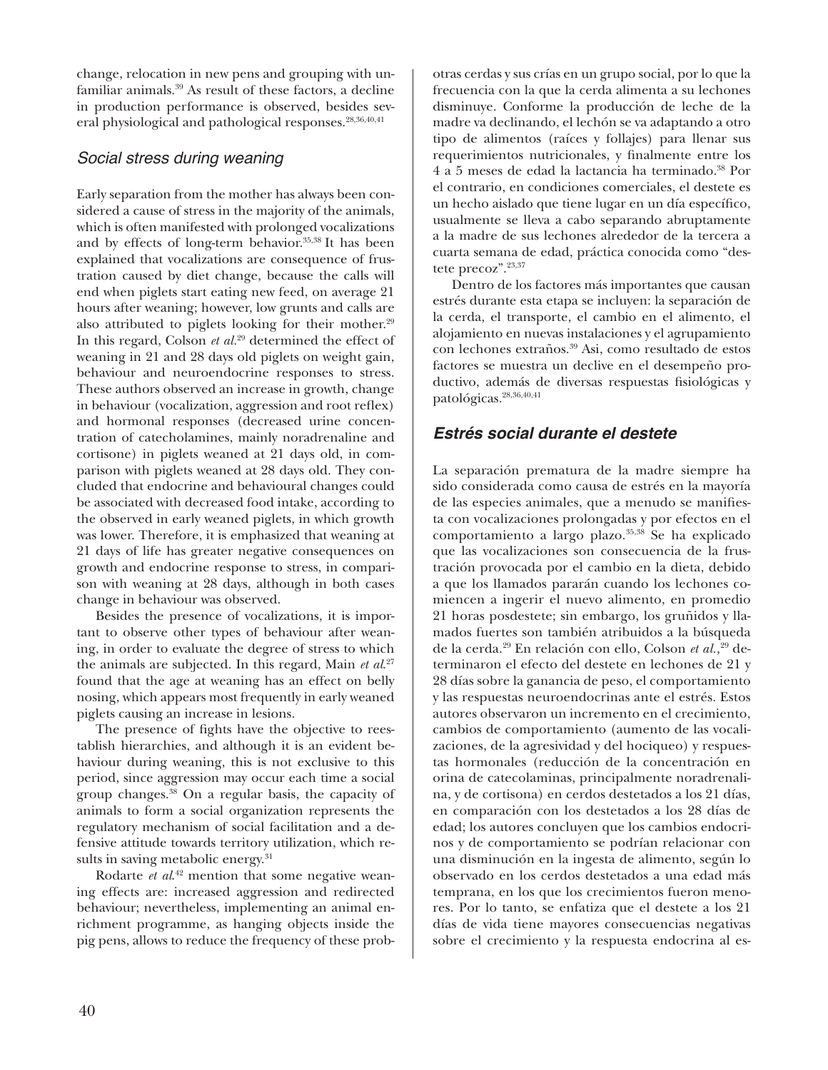change, relocation in new pens and grouping with unfamiliar animals.39 As result of these factors, a decline in production performance is observed, besides several physiological and pathological responses.28,36,40,41

#### *Social stress during weaning*

Early separation from the mother has always been considered a cause of stress in the majority of the animals, which is often manifested with prolonged vocalizations and by effects of long-term behavior.35,38 It has been explained that vocalizations are consequence of frustration caused by diet change, because the calls will end when piglets start eating new feed, on average 21 hours after weaning; however, low grunts and calls are also attributed to piglets looking for their mother.<sup>29</sup> In this regard, Colson *et al.*29 determined the effect of weaning in 21 and 28 days old piglets on weight gain, behaviour and neuroendocrine responses to stress. These authors observed an increase in growth, change in behaviour (vocalization, aggression and root refex) and hormonal responses (decreased urine concentration of catecholamines, mainly noradrenaline and cortisone) in piglets weaned at 21 days old, in comparison with piglets weaned at 28 days old. They concluded that endocrine and behavioural changes could be associated with decreased food intake, according to the observed in early weaned piglets, in which growth was lower. Therefore, it is emphasized that weaning at 21 days of life has greater negative consequences on growth and endocrine response to stress, in comparison with weaning at 28 days, although in both cases change in behaviour was observed.

Besides the presence of vocalizations, it is important to observe other types of behaviour after weaning, in order to evaluate the degree of stress to which the animals are subjected. In this regard, Main *et al*. 27 found that the age at weaning has an effect on belly nosing, which appears most frequently in early weaned piglets causing an increase in lesions.

The presence of fghts have the objective to reestablish hierarchies, and although it is an evident behaviour during weaning, this is not exclusive to this period, since aggression may occur each time a social group changes.38 On a regular basis, the capacity of animals to form a social organization represents the regulatory mechanism of social facilitation and a defensive attitude towards territory utilization, which results in saving metabolic energy.<sup>31</sup>

Rodarte *et al.*<sup>42</sup> mention that some negative weaning effects are: increased aggression and redirected behaviour; nevertheless, implementing an animal enrichment programme, as hanging objects inside the pig pens, allows to reduce the frequency of these prob-

otras cerdas y sus crías en un grupo social, por lo que la frecuencia con la que la cerda alimenta a su lechones disminuye. Conforme la producción de leche de la madre va declinando, el lechón se va adaptando a otro tipo de alimentos (raíces y follajes) para llenar sus requerimientos nutricionales, y fnalmente entre los 4 a 5 meses de edad la lactancia ha terminado.38 Por el contrario, en condiciones comerciales, el destete es un hecho aislado que tiene lugar en un día específco, usualmente se lleva a cabo separando abruptamente a la madre de sus lechones alrededor de la tercera a cuarta semana de edad, práctica conocida como "destete precoz".23,37

Dentro de los factores más importantes que causan estrés durante esta etapa se incluyen: la separación de la cerda, el transporte, el cambio en el alimento, el alojamiento en nuevas instalaciones y el agrupamiento con lechones extraños.39 Asi, como resultado de estos factores se muestra un declive en el desempeño productivo, además de diversas respuestas fsiológicas y patológicas.28,36,40,41

## *Estrés social durante el destete*

La separación prematura de la madre siempre ha sido considerada como causa de estrés en la mayoría de las especies animales, que a menudo se manifesta con vocalizaciones prolongadas y por efectos en el comportamiento a largo plazo.35,38 Se ha explicado que las vocalizaciones son consecuencia de la frustración provocada por el cambio en la dieta, debido a que los llamados pararán cuando los lechones comiencen a ingerir el nuevo alimento, en promedio 21 horas posdestete; sin embargo, los gruñidos y llamados fuertes son también atribuidos a la búsqueda de la cerda.29 En relación con ello, Colson *et al.,*29 determinaron el efecto del destete en lechones de 21 y 28 días sobre la ganancia de peso, el comportamiento y las respuestas neuroendocrinas ante el estrés. Estos autores observaron un incremento en el crecimiento, cambios de comportamiento (aumento de las vocalizaciones, de la agresividad y del hociqueo) y respuestas hormonales (reducción de la concentración en orina de catecolaminas, principalmente noradrenalina, y de cortisona) en cerdos destetados a los 21 días, en comparación con los destetados a los 28 días de edad; los autores concluyen que los cambios endocrinos y de comportamiento se podrían relacionar con una disminución en la ingesta de alimento, según lo observado en los cerdos destetados a una edad más temprana, en los que los crecimientos fueron menores. Por lo tanto, se enfatiza que el destete a los 21 días de vida tiene mayores consecuencias negativas sobre el crecimiento y la respuesta endocrina al es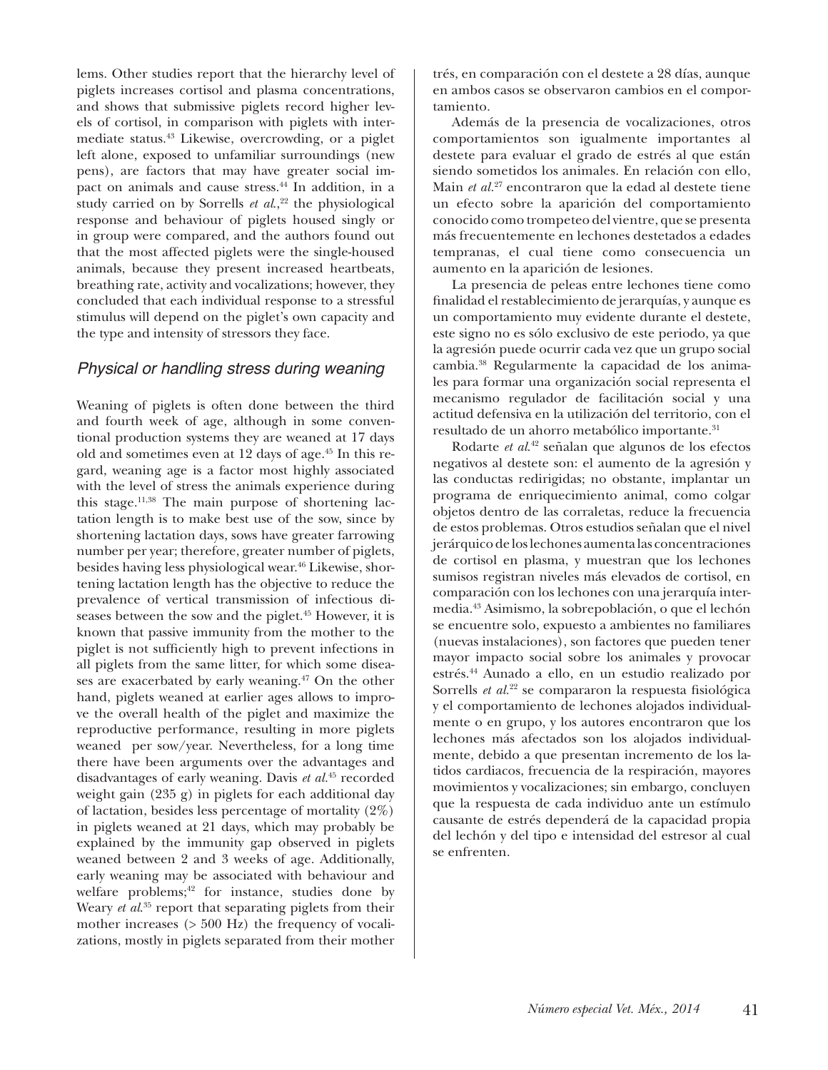lems. Other studies report that the hierarchy level of piglets increases cortisol and plasma concentrations, and shows that submissive piglets record higher levels of cortisol, in comparison with piglets with intermediate status.43 Likewise, overcrowding, or a piglet left alone, exposed to unfamiliar surroundings (new pens), are factors that may have greater social impact on animals and cause stress.<sup>44</sup> In addition, in a study carried on by Sorrells *et al.*<sup>22</sup> the physiological response and behaviour of piglets housed singly or in group were compared, and the authors found out that the most affected piglets were the single-housed animals, because they present increased heartbeats, breathing rate, activity and vocalizations; however, they concluded that each individual response to a stressful stimulus will depend on the piglet's own capacity and the type and intensity of stressors they face.

#### *Physical or handling stress during weaning*

Weaning of piglets is often done between the third and fourth week of age, although in some conventional production systems they are weaned at 17 days old and sometimes even at 12 days of age.<sup>45</sup> In this regard, weaning age is a factor most highly associated with the level of stress the animals experience during this stage. $11,38$  The main purpose of shortening lactation length is to make best use of the sow, since by shortening lactation days, sows have greater farrowing number per year; therefore, greater number of piglets, besides having less physiological wear.<sup>46</sup> Likewise, shortening lactation length has the objective to reduce the prevalence of vertical transmission of infectious diseases between the sow and the piglet.<sup>45</sup> However, it is known that passive immunity from the mother to the piglet is not suffciently high to prevent infections in all piglets from the same litter, for which some diseases are exacerbated by early weaning.<sup>47</sup> On the other hand, piglets weaned at earlier ages allows to improve the overall health of the piglet and maximize the reproductive performance, resulting in more piglets weaned per sow/year. Nevertheless, for a long time there have been arguments over the advantages and disadvantages of early weaning. Davis *et al.*45 recorded weight gain (235 g) in piglets for each additional day of lactation, besides less percentage of mortality (2%) in piglets weaned at 21 days, which may probably be explained by the immunity gap observed in piglets weaned between 2 and 3 weeks of age. Additionally, early weaning may be associated with behaviour and welfare problems;<sup>42</sup> for instance, studies done by Weary *et al.*<sup>35</sup> report that separating piglets from their mother increases (> 500 Hz) the frequency of vocalizations, mostly in piglets separated from their mother

trés, en comparación con el destete a 28 días, aunque en ambos casos se observaron cambios en el comportamiento.

Además de la presencia de vocalizaciones, otros comportamientos son igualmente importantes al destete para evaluar el grado de estrés al que están siendo sometidos los animales. En relación con ello, Main *et al.*27 encontraron que la edad al destete tiene un efecto sobre la aparición del comportamiento conocido como trompeteo del vientre, que se presenta más frecuentemente en lechones destetados a edades tempranas, el cual tiene como consecuencia un aumento en la aparición de lesiones.

La presencia de peleas entre lechones tiene como fnalidad el restablecimiento de jerarquías, y aunque es un comportamiento muy evidente durante el destete, este signo no es sólo exclusivo de este periodo, ya que la agresión puede ocurrir cada vez que un grupo social cambia.38 Regularmente la capacidad de los animales para formar una organización social representa el mecanismo regulador de facilitación social y una actitud defensiva en la utilización del territorio, con el resultado de un ahorro metabólico importante.<sup>31</sup>

Rodarte *et al*. 42 señalan que algunos de los efectos negativos al destete son: el aumento de la agresión y las conductas redirigidas; no obstante, implantar un programa de enriquecimiento animal, como colgar objetos dentro de las corraletas, reduce la frecuencia de estos problemas. Otros estudios señalan que el nivel jerárquico de los lechones aumenta las concentraciones de cortisol en plasma, y muestran que los lechones sumisos registran niveles más elevados de cortisol, en comparación con los lechones con una jerarquía intermedia.43 Asimismo, la sobrepoblación, o que el lechón se encuentre solo, expuesto a ambientes no familiares (nuevas instalaciones), son factores que pueden tener mayor impacto social sobre los animales y provocar estrés.44 Aunado a ello, en un estudio realizado por Sorrells *et al.*<sup>22</sup> se compararon la respuesta fisiológica y el comportamiento de lechones alojados individualmente o en grupo, y los autores encontraron que los lechones más afectados son los alojados individualmente, debido a que presentan incremento de los latidos cardiacos, frecuencia de la respiración, mayores movimientos y vocalizaciones; sin embargo, concluyen que la respuesta de cada individuo ante un estímulo causante de estrés dependerá de la capacidad propia del lechón y del tipo e intensidad del estresor al cual se enfrenten.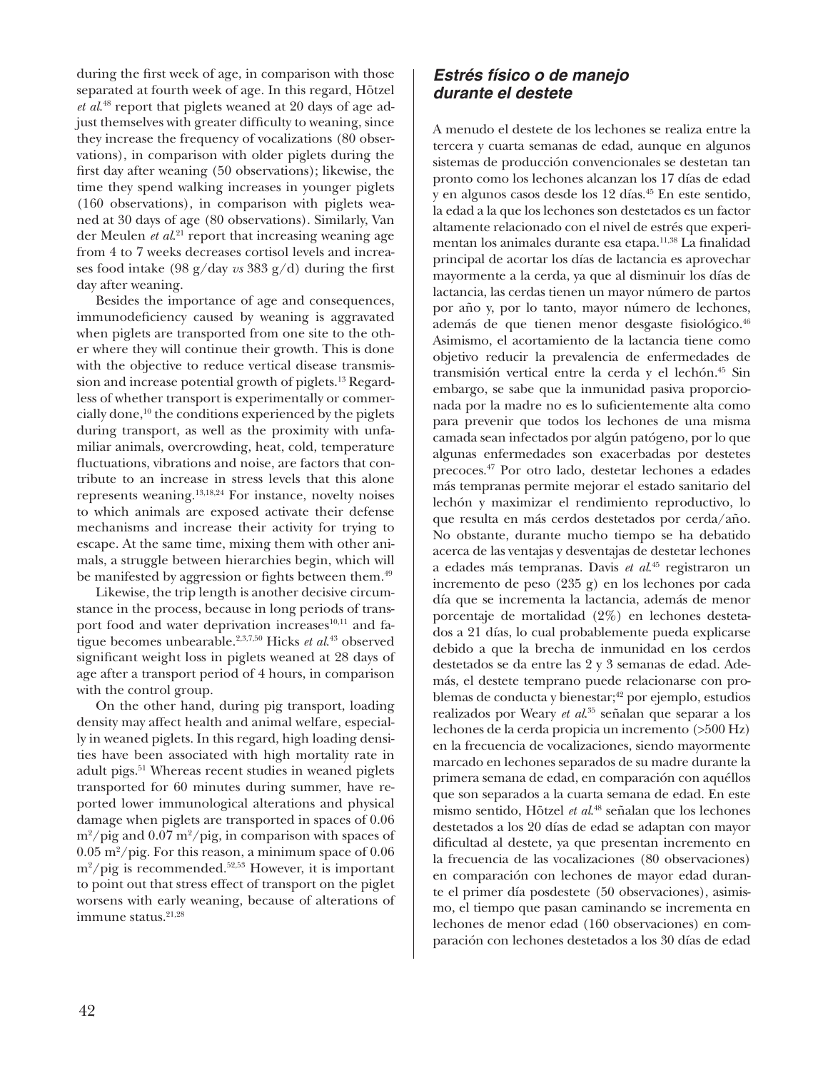during the frst week of age, in comparison with those separated at fourth week of age. In this regard, Hötzel *et al*. 48 report that piglets weaned at 20 days of age adjust themselves with greater difficulty to weaning, since they increase the frequency of vocalizations (80 observations), in comparison with older piglets during the frst day after weaning (50 observations); likewise, the time they spend walking increases in younger piglets (160 observations), in comparison with piglets weaned at 30 days of age (80 observations). Similarly, Van der Meulen *et al*. 21 report that increasing weaning age from 4 to 7 weeks decreases cortisol levels and increases food intake (98 g/day *vs* 383 g/d) during the frst day after weaning.

Besides the importance of age and consequences, immunodefciency caused by weaning is aggravated when piglets are transported from one site to the other where they will continue their growth. This is done with the objective to reduce vertical disease transmission and increase potential growth of piglets.13 Regardless of whether transport is experimentally or commercially done, $10$  the conditions experienced by the piglets during transport, as well as the proximity with unfamiliar animals, overcrowding, heat, cold, temperature fuctuations, vibrations and noise, are factors that contribute to an increase in stress levels that this alone represents weaning.13,18,24 For instance, novelty noises to which animals are exposed activate their defense mechanisms and increase their activity for trying to escape. At the same time, mixing them with other animals, a struggle between hierarchies begin, which will be manifested by aggression or fights between them.<sup>49</sup>

Likewise, the trip length is another decisive circumstance in the process, because in long periods of transport food and water deprivation increases<sup>10,11</sup> and fatigue becomes unbearable.2,3,7,50 Hicks *et al*. 43 observed signifcant weight loss in piglets weaned at 28 days of age after a transport period of 4 hours, in comparison with the control group.

On the other hand, during pig transport, loading density may affect health and animal welfare, especially in weaned piglets. In this regard, high loading densities have been associated with high mortality rate in adult pigs.<sup>51</sup> Whereas recent studies in weaned piglets transported for 60 minutes during summer, have reported lower immunological alterations and physical damage when piglets are transported in spaces of 0.06  $\rm m^2/pig$  and 0.07 m<sup>2</sup>/pig, in comparison with spaces of  $0.05 \text{ m}^2/\text{pi}$ g. For this reason, a minimum space of  $0.06$ m2 /pig is recommended.52,53 However, it is important to point out that stress effect of transport on the piglet worsens with early weaning, because of alterations of immune status. $21,28$ 

## **Estrés físico o de manejo** *durante el destete*

A menudo el destete de los lechones se realiza entre la tercera y cuarta semanas de edad, aunque en algunos sistemas de producción convencionales se destetan tan pronto como los lechones alcanzan los 17 días de edad y en algunos casos desde los 12 días.45 En este sentido, la edad a la que los lechones son destetados es un factor altamente relacionado con el nivel de estrés que experimentan los animales durante esa etapa.<sup>11,38</sup> La finalidad principal de acortar los días de lactancia es aprovechar mayormente a la cerda, ya que al disminuir los días de lactancia, las cerdas tienen un mayor número de partos por año y, por lo tanto, mayor número de lechones, además de que tienen menor desgaste fsiológico.46 Asimismo, el acortamiento de la lactancia tiene como objetivo reducir la prevalencia de enfermedades de transmisión vertical entre la cerda y el lechón.<sup>45</sup> Sin embargo, se sabe que la inmunidad pasiva proporcionada por la madre no es lo sufcientemente alta como para prevenir que todos los lechones de una misma camada sean infectados por algún patógeno, por lo que algunas enfermedades son exacerbadas por destetes precoces.47 Por otro lado, destetar lechones a edades más tempranas permite mejorar el estado sanitario del lechón y maximizar el rendimiento reproductivo, lo que resulta en más cerdos destetados por cerda/año. No obstante, durante mucho tiempo se ha debatido acerca de las ventajas y desventajas de destetar lechones a edades más tempranas. Davis *et al*. 45 registraron un incremento de peso (235 g) en los lechones por cada día que se incrementa la lactancia, además de menor porcentaje de mortalidad (2%) en lechones destetados a 21 días, lo cual probablemente pueda explicarse debido a que la brecha de inmunidad en los cerdos destetados se da entre las 2 y 3 semanas de edad. Además, el destete temprano puede relacionarse con problemas de conducta y bienestar;<sup>42</sup> por ejemplo, estudios realizados por Weary *et al*. 35 señalan que separar a los lechones de la cerda propicia un incremento (>500 Hz) en la frecuencia de vocalizaciones, siendo mayormente marcado en lechones separados de su madre durante la primera semana de edad, en comparación con aquéllos que son separados a la cuarta semana de edad. En este mismo sentido, Hötzel *et al*. 48 señalan que los lechones destetados a los 20 días de edad se adaptan con mayor difcultad al destete, ya que presentan incremento en la frecuencia de las vocalizaciones (80 observaciones) en comparación con lechones de mayor edad durante el primer día posdestete (50 observaciones), asimismo, el tiempo que pasan caminando se incrementa en lechones de menor edad (160 observaciones) en comparación con lechones destetados a los 30 días de edad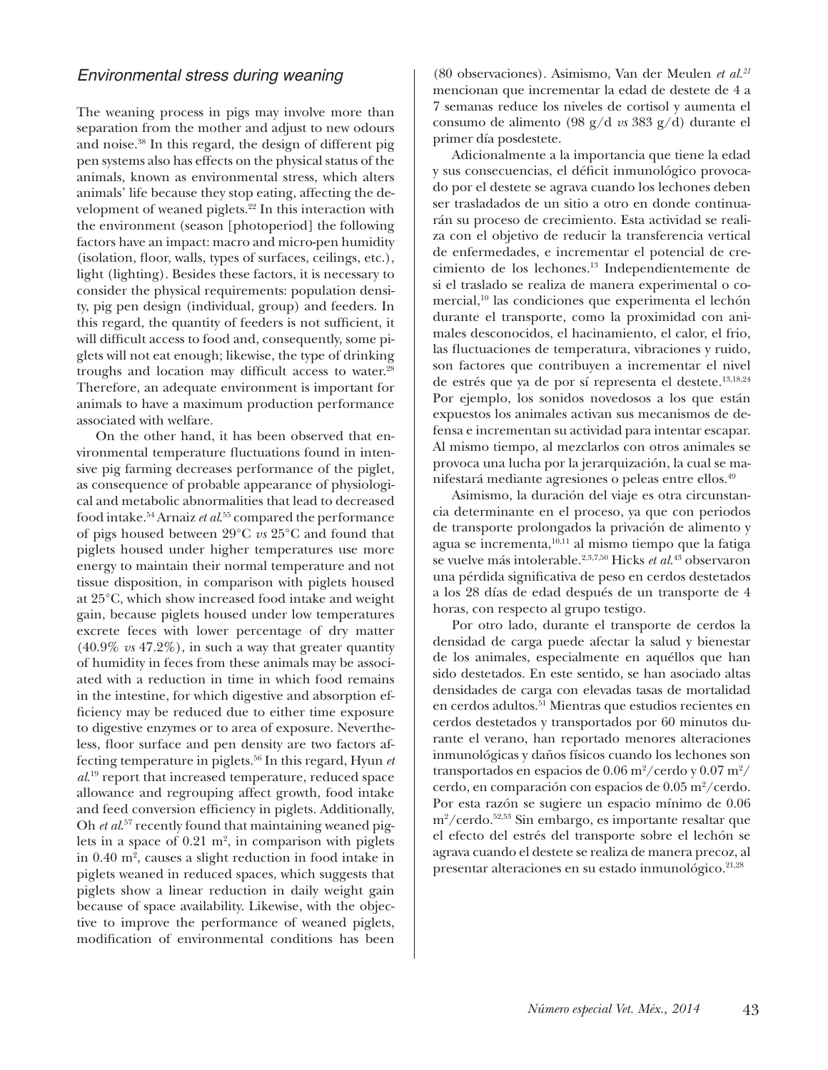#### *Environmental stress during weaning*

The weaning process in pigs may involve more than separation from the mother and adjust to new odours and noise.38 In this regard, the design of different pig pen systems also has effects on the physical status of the animals, known as environmental stress, which alters animals' life because they stop eating, affecting the development of weaned piglets.<sup>22</sup> In this interaction with the environment (season [photoperiod] the following factors have an impact: macro and micro-pen humidity (isolation, floor, walls, types of surfaces, ceilings, etc.), light (lighting). Besides these factors, it is necessary to consider the physical requirements: population density, pig pen design (individual, group) and feeders. In this regard, the quantity of feeders is not suffcient, it will diffcult access to food and, consequently, some piglets will not eat enough; likewise, the type of drinking troughs and location may difficult access to water.<sup>28</sup> Therefore, an adequate environment is important for animals to have a maximum production performance associated with welfare.

On the other hand, it has been observed that environmental temperature fuctuations found in intensive pig farming decreases performance of the piglet, as consequence of probable appearance of physiological and metabolic abnormalities that lead to decreased food intake.54 Arnaiz *et al*. 55 compared the performance of pigs housed between 29°C *vs* 25°C and found that piglets housed under higher temperatures use more energy to maintain their normal temperature and not tissue disposition, in comparison with piglets housed at 25°C, which show increased food intake and weight gain, because piglets housed under low temperatures excrete feces with lower percentage of dry matter (40.9% *vs* 47.2%), in such a way that greater quantity of humidity in feces from these animals may be associated with a reduction in time in which food remains in the intestine, for which digestive and absorption effciency may be reduced due to either time exposure to digestive enzymes or to area of exposure. Nevertheless, foor surface and pen density are two factors affecting temperature in piglets.56 In this regard, Hyun *et al*. 19 report that increased temperature, reduced space allowance and regrouping affect growth, food intake and feed conversion efficiency in piglets. Additionally, Oh *et al*. 57 recently found that maintaining weaned piglets in a space of  $0.21 \text{ m}^2$ , in comparison with piglets in 0.40 m<sup>2</sup>, causes a slight reduction in food intake in piglets weaned in reduced spaces, which suggests that piglets show a linear reduction in daily weight gain because of space availability. Likewise, with the objective to improve the performance of weaned piglets, modifcation of environmental conditions has been

(80 observaciones). Asimismo, Van der Meulen *et al.21* mencionan que incrementar la edad de destete de 4 a 7 semanas reduce los niveles de cortisol y aumenta el consumo de alimento (98 g/d *vs* 383 g/d) durante el primer día posdestete.

Adicionalmente a la importancia que tiene la edad y sus consecuencias, el défcit inmunológico provocado por el destete se agrava cuando los lechones deben ser trasladados de un sitio a otro en donde continuarán su proceso de crecimiento. Esta actividad se realiza con el objetivo de reducir la transferencia vertical de enfermedades, e incrementar el potencial de crecimiento de los lechones.13 Independientemente de si el traslado se realiza de manera experimental o comercial,<sup>10</sup> las condiciones que experimenta el lechón durante el transporte, como la proximidad con animales desconocidos, el hacinamiento, el calor, el frio, las fuctuaciones de temperatura, vibraciones y ruido, son factores que contribuyen a incrementar el nivel de estrés que ya de por sí representa el destete.13,18,24 Por ejemplo, los sonidos novedosos a los que están expuestos los animales activan sus mecanismos de defensa e incrementan su actividad para intentar escapar. Al mismo tiempo, al mezclarlos con otros animales se provoca una lucha por la jerarquización, la cual se manifestará mediante agresiones o peleas entre ellos.49

Asimismo, la duración del viaje es otra circunstancia determinante en el proceso, ya que con periodos de transporte prolongados la privación de alimento y agua se incrementa,10,11 al mismo tiempo que la fatiga se vuelve más intolerable.2,3,7,50 Hicks *et al.*43 observaron una pérdida signifcativa de peso en cerdos destetados a los 28 días de edad después de un transporte de 4 horas, con respecto al grupo testigo.

Por otro lado, durante el transporte de cerdos la densidad de carga puede afectar la salud y bienestar de los animales, especialmente en aquéllos que han sido destetados. En este sentido, se han asociado altas densidades de carga con elevadas tasas de mortalidad en cerdos adultos.51 Mientras que estudios recientes en cerdos destetados y transportados por 60 minutos durante el verano, han reportado menores alteraciones inmunológicas y daños físicos cuando los lechones son transportados en espacios de  $0.06\,\mathrm{m^2}/\mathrm{cerd}$ o y  $0.07\,\mathrm{m^2}/$ cerdo, en comparación con espacios de 0.05 m<sup>2</sup>/cerdo. Por esta razón se sugiere un espacio mínimo de 0.06 m2 /cerdo.52,53 Sin embargo, es importante resaltar que el efecto del estrés del transporte sobre el lechón se agrava cuando el destete se realiza de manera precoz, al presentar alteraciones en su estado inmunológico.<sup>21,28</sup>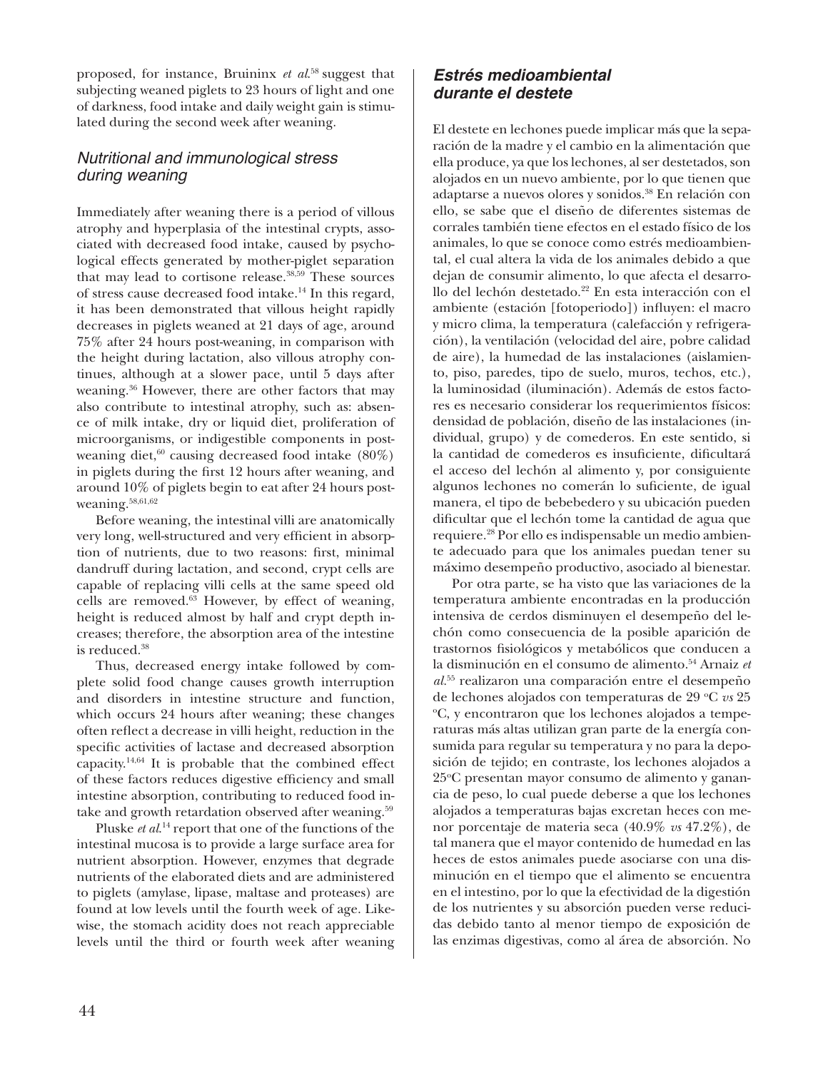proposed, for instance, Bruininx *et al*. 58 suggest that subjecting weaned piglets to 23 hours of light and one of darkness, food intake and daily weight gain is stimulated during the second week after weaning.

## *Nutritional and immunological stress during weaning*

Immediately after weaning there is a period of villous atrophy and hyperplasia of the intestinal crypts, associated with decreased food intake, caused by psychological effects generated by mother-piglet separation that may lead to cortisone release.38,59 These sources of stress cause decreased food intake.14 In this regard, it has been demonstrated that villous height rapidly decreases in piglets weaned at 21 days of age, around 75% after 24 hours post-weaning, in comparison with the height during lactation, also villous atrophy continues, although at a slower pace, until 5 days after weaning.36 However, there are other factors that may also contribute to intestinal atrophy, such as: absence of milk intake, dry or liquid diet, proliferation of microorganisms, or indigestible components in postweaning diet, $60$  causing decreased food intake  $(80\%)$ in piglets during the frst 12 hours after weaning, and around 10% of piglets begin to eat after 24 hours postweaning.58,61,62

Before weaning, the intestinal villi are anatomically very long, well-structured and very efficient in absorption of nutrients, due to two reasons: frst, minimal dandruff during lactation, and second, crypt cells are capable of replacing villi cells at the same speed old cells are removed.63 However, by effect of weaning, height is reduced almost by half and crypt depth increases; therefore, the absorption area of the intestine is reduced.38

Thus, decreased energy intake followed by complete solid food change causes growth interruption and disorders in intestine structure and function, which occurs 24 hours after weaning; these changes often refect a decrease in villi height, reduction in the specifc activities of lactase and decreased absorption capacity.14,64 It is probable that the combined effect of these factors reduces digestive efficiency and small intestine absorption, contributing to reduced food intake and growth retardation observed after weaning.<sup>59</sup>

Pluske *et al*. 14 report that one of the functions of the intestinal mucosa is to provide a large surface area for nutrient absorption. However, enzymes that degrade nutrients of the elaborated diets and are administered to piglets (amylase, lipase, maltase and proteases) are found at low levels until the fourth week of age. Likewise, the stomach acidity does not reach appreciable levels until the third or fourth week after weaning

## *Estrés medioambiental durante el destete*

El destete en lechones puede implicar más que la separación de la madre y el cambio en la alimentación que ella produce, ya que los lechones, al ser destetados, son alojados en un nuevo ambiente, por lo que tienen que adaptarse a nuevos olores y sonidos.38 En relación con ello, se sabe que el diseño de diferentes sistemas de corrales también tiene efectos en el estado físico de los animales, lo que se conoce como estrés medioambiental, el cual altera la vida de los animales debido a que dejan de consumir alimento, lo que afecta el desarrollo del lechón destetado.<sup>22</sup> En esta interacción con el ambiente (estación [fotoperiodo]) infuyen: el macro y micro clima, la temperatura (calefacción y refrigeración), la ventilación (velocidad del aire, pobre calidad de aire), la humedad de las instalaciones (aislamiento, piso, paredes, tipo de suelo, muros, techos, etc.), la luminosidad (iluminación). Además de estos factores es necesario considerar los requerimientos físicos: densidad de población, diseño de las instalaciones (individual, grupo) y de comederos. En este sentido, si la cantidad de comederos es insuficiente, dificultará el acceso del lechón al alimento y, por consiguiente algunos lechones no comerán lo sufciente, de igual manera, el tipo de bebebedero y su ubicación pueden difcultar que el lechón tome la cantidad de agua que requiere.28 Por ello es indispensable un medio ambiente adecuado para que los animales puedan tener su máximo desempeño productivo, asociado al bienestar.

Por otra parte, se ha visto que las variaciones de la temperatura ambiente encontradas en la producción intensiva de cerdos disminuyen el desempeño del lechón como consecuencia de la posible aparición de trastornos fsiológicos y metabólicos que conducen a la disminución en el consumo de alimento.54 Arnaiz *et al.*<sup>55</sup> realizaron una comparación entre el desempeño de lechones alojados con temperaturas de 29 °C *vs* 25 o C, y encontraron que los lechones alojados a temperaturas más altas utilizan gran parte de la energía consumida para regular su temperatura y no para la deposición de tejido; en contraste, los lechones alojados a 25°C presentan mayor consumo de alimento y ganancia de peso, lo cual puede deberse a que los lechones alojados a temperaturas bajas excretan heces con menor porcentaje de materia seca (40.9% *vs* 47.2%), de tal manera que el mayor contenido de humedad en las heces de estos animales puede asociarse con una disminución en el tiempo que el alimento se encuentra en el intestino, por lo que la efectividad de la digestión de los nutrientes y su absorción pueden verse reducidas debido tanto al menor tiempo de exposición de las enzimas digestivas, como al área de absorción. No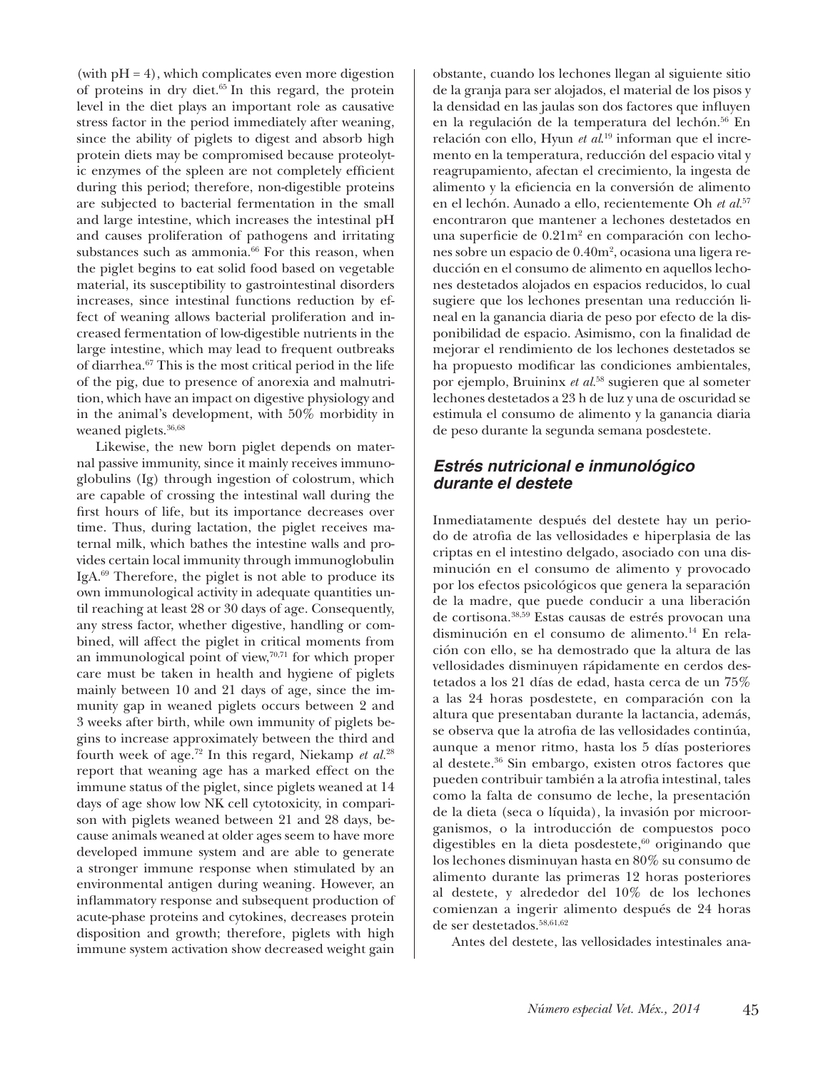(with  $pH = 4$ ), which complicates even more digestion of proteins in dry diet.65 In this regard, the protein level in the diet plays an important role as causative stress factor in the period immediately after weaning, since the ability of piglets to digest and absorb high protein diets may be compromised because proteolytic enzymes of the spleen are not completely efficient during this period; therefore, non-digestible proteins are subjected to bacterial fermentation in the small and large intestine, which increases the intestinal pH and causes proliferation of pathogens and irritating substances such as ammonia.<sup>66</sup> For this reason, when the piglet begins to eat solid food based on vegetable material, its susceptibility to gastrointestinal disorders increases, since intestinal functions reduction by effect of weaning allows bacterial proliferation and increased fermentation of low-digestible nutrients in the large intestine, which may lead to frequent outbreaks of diarrhea.67 This is the most critical period in the life of the pig, due to presence of anorexia and malnutrition, which have an impact on digestive physiology and in the animal's development, with 50% morbidity in weaned piglets.<sup>36,68</sup>

Likewise, the new born piglet depends on maternal passive immunity, since it mainly receives immunoglobulins (Ig) through ingestion of colostrum, which are capable of crossing the intestinal wall during the frst hours of life, but its importance decreases over time. Thus, during lactation, the piglet receives maternal milk, which bathes the intestine walls and provides certain local immunity through immunoglobulin IgA.69 Therefore, the piglet is not able to produce its own immunological activity in adequate quantities until reaching at least 28 or 30 days of age. Consequently, any stress factor, whether digestive, handling or combined, will affect the piglet in critical moments from an immunological point of view, $70,71$  for which proper care must be taken in health and hygiene of piglets mainly between 10 and 21 days of age, since the immunity gap in weaned piglets occurs between 2 and 3 weeks after birth, while own immunity of piglets begins to increase approximately between the third and fourth week of age.72 In this regard, Niekamp *et al.*<sup>28</sup> report that weaning age has a marked effect on the immune status of the piglet, since piglets weaned at 14 days of age show low NK cell cytotoxicity, in comparison with piglets weaned between 21 and 28 days, because animals weaned at older ages seem to have more developed immune system and are able to generate a stronger immune response when stimulated by an environmental antigen during weaning. However, an infammatory response and subsequent production of acute-phase proteins and cytokines, decreases protein disposition and growth; therefore, piglets with high immune system activation show decreased weight gain

obstante, cuando los lechones llegan al siguiente sitio de la granja para ser alojados, el material de los pisos y la densidad en las jaulas son dos factores que infuyen en la regulación de la temperatura del lechón.<sup>56</sup> En relación con ello, Hyun *et al*. 19 informan que el incremento en la temperatura, reducción del espacio vital y reagrupamiento, afectan el crecimiento, la ingesta de alimento y la efciencia en la conversión de alimento en el lechón. Aunado a ello, recientemente Oh *et al.*<sup>57</sup> encontraron que mantener a lechones destetados en una superficie de 0.21m<sup>2</sup> en comparación con lechones sobre un espacio de 0.40m2 , ocasiona una ligera reducción en el consumo de alimento en aquellos lechones destetados alojados en espacios reducidos, lo cual sugiere que los lechones presentan una reducción lineal en la ganancia diaria de peso por efecto de la disponibilidad de espacio. Asimismo, con la fnalidad de mejorar el rendimiento de los lechones destetados se ha propuesto modifcar las condiciones ambientales, por ejemplo, Bruininx *et al.*<sup>58</sup> sugieren que al someter lechones destetados a 23 h de luz y una de oscuridad se estimula el consumo de alimento y la ganancia diaria de peso durante la segunda semana posdestete.

## *Estrés nutricional e inmunológico durante el destete*

Inmediatamente después del destete hay un periodo de atrofa de las vellosidades e hiperplasia de las criptas en el intestino delgado, asociado con una disminución en el consumo de alimento y provocado por los efectos psicológicos que genera la separación de la madre, que puede conducir a una liberación de cortisona.38,59 Estas causas de estrés provocan una disminución en el consumo de alimento.<sup>14</sup> En relación con ello, se ha demostrado que la altura de las vellosidades disminuyen rápidamente en cerdos destetados a los 21 días de edad, hasta cerca de un 75% a las 24 horas posdestete, en comparación con la altura que presentaban durante la lactancia, además, se observa que la atrofa de las vellosidades continúa, aunque a menor ritmo, hasta los 5 días posteriores al destete.36 Sin embargo, existen otros factores que pueden contribuir también a la atrofa intestinal, tales como la falta de consumo de leche, la presentación de la dieta (seca o líquida), la invasión por microorganismos, o la introducción de compuestos poco digestibles en la dieta posdestete, $60$  originando que los lechones disminuyan hasta en 80% su consumo de alimento durante las primeras 12 horas posteriores al destete, y alrededor del 10% de los lechones comienzan a ingerir alimento después de 24 horas de ser destetados.<sup>58,61,62</sup>

Antes del destete, las vellosidades intestinales ana-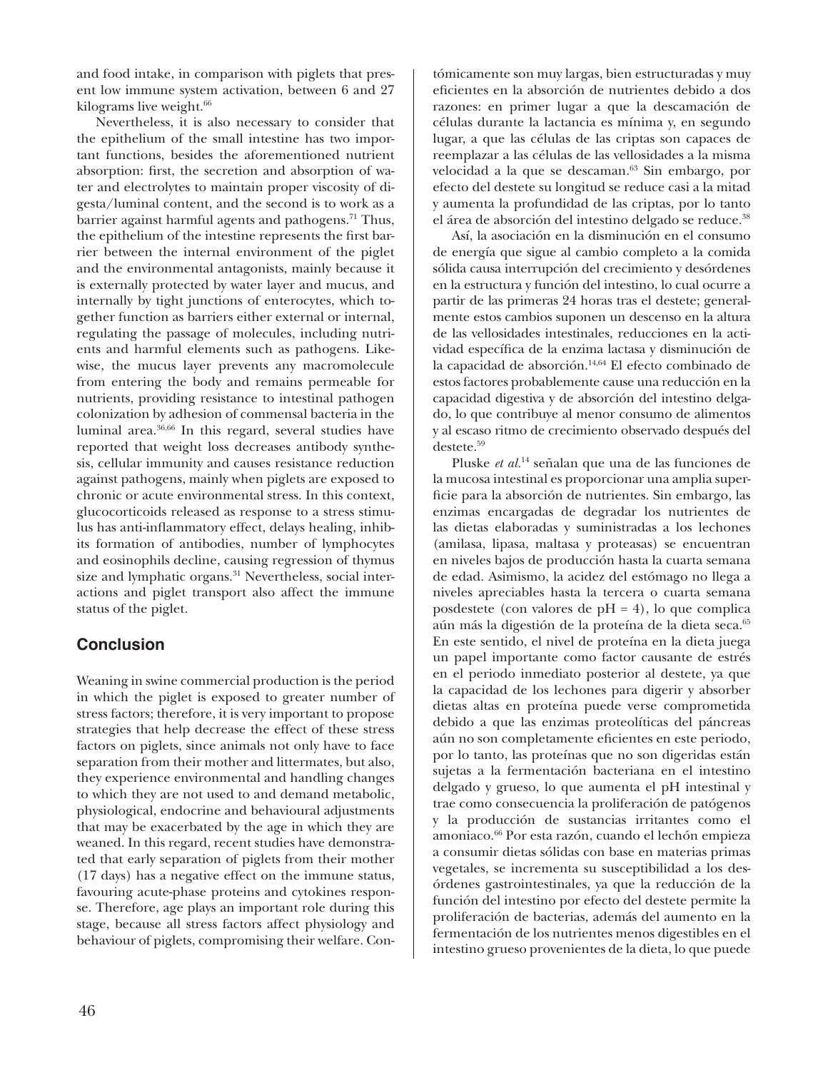and food intake, in comparison with piglets that present low immune system activation, between 6 and 27 kilograms live weight.<sup>66</sup>

Nevertheless, it is also necessary to consider that the epithelium of the small intestine has two important functions, besides the aforementioned nutrient absorption: frst, the secretion and absorption of water and electrolytes to maintain proper viscosity of digesta/luminal content, and the second is to work as a barrier against harmful agents and pathogens.<sup>71</sup> Thus, the epithelium of the intestine represents the frst barrier between the internal environment of the piglet and the environmental antagonists, mainly because it is externally protected by water layer and mucus, and internally by tight junctions of enterocytes, which together function as barriers either external or internal, regulating the passage of molecules, including nutrients and harmful elements such as pathogens. Likewise, the mucus layer prevents any macromolecule from entering the body and remains permeable for nutrients, providing resistance to intestinal pathogen colonization by adhesion of commensal bacteria in the luminal area.36,66 In this regard, several studies have reported that weight loss decreases antibody synthesis, cellular immunity and causes resistance reduction against pathogens, mainly when piglets are exposed to chronic or acute environmental stress. In this context, glucocorticoids released as response to a stress stimulus has anti-infammatory effect, delays healing, inhibits formation of antibodies, number of lymphocytes and eosinophils decline, causing regression of thymus size and lymphatic organs.<sup>31</sup> Nevertheless, social interactions and piglet transport also affect the immune status of the piglet.

## **Conclusion**

Weaning in swine commercial production is the period in which the piglet is exposed to greater number of stress factors; therefore, it is very important to propose strategies that help decrease the effect of these stress factors on piglets, since animals not only have to face separation from their mother and littermates, but also, they experience environmental and handling changes to which they are not used to and demand metabolic, physiological, endocrine and behavioural adjustments that may be exacerbated by the age in which they are weaned. In this regard, recent studies have demonstrated that early separation of piglets from their mother (17 days) has a negative effect on the immune status, favouring acute-phase proteins and cytokines response. Therefore, age plays an important role during this stage, because all stress factors affect physiology and behaviour of piglets, compromising their welfare. Con-

46

tómicamente son muy largas, bien estructuradas y muy efcientes en la absorción de nutrientes debido a dos razones: en primer lugar a que la descamación de células durante la lactancia es mínima y, en segundo lugar, a que las células de las criptas son capaces de reemplazar a las células de las vellosidades a la misma velocidad a la que se descaman.<sup>63</sup> Sin embargo, por efecto del destete su longitud se reduce casi a la mitad y aumenta la profundidad de las criptas, por lo tanto el área de absorción del intestino delgado se reduce.38

Así, la asociación en la disminución en el consumo de energía que sigue al cambio completo a la comida sólida causa interrupción del crecimiento y desórdenes en la estructura y función del intestino, lo cual ocurre a partir de las primeras 24 horas tras el destete; generalmente estos cambios suponen un descenso en la altura de las vellosidades intestinales, reducciones en la actividad específca de la enzima lactasa y disminución de la capacidad de absorción.<sup>14,64</sup> El efecto combinado de estos factores probablemente cause una reducción en la capacidad digestiva y de absorción del intestino delgado, lo que contribuye al menor consumo de alimentos y al escaso ritmo de crecimiento observado después del destete.59

Pluske *et al.*14 señalan que una de las funciones de la mucosa intestinal es proporcionar una amplia superfcie para la absorción de nutrientes. Sin embargo, las enzimas encargadas de degradar los nutrientes de las dietas elaboradas y suministradas a los lechones (amilasa, lipasa, maltasa y proteasas) se encuentran en niveles bajos de producción hasta la cuarta semana de edad. Asimismo, la acidez del estómago no llega a niveles apreciables hasta la tercera o cuarta semana posdestete (con valores de pH = 4), lo que complica aún más la digestión de la proteína de la dieta seca.<sup>65</sup> En este sentido, el nivel de proteína en la dieta juega un papel importante como factor causante de estrés en el periodo inmediato posterior al destete, ya que la capacidad de los lechones para digerir y absorber dietas altas en proteína puede verse comprometida debido a que las enzimas proteolíticas del páncreas aún no son completamente efcientes en este periodo, por lo tanto, las proteínas que no son digeridas están sujetas a la fermentación bacteriana en el intestino delgado y grueso, lo que aumenta el pH intestinal y trae como consecuencia la proliferación de patógenos y la producción de sustancias irritantes como el amoniaco.66 Por esta razón, cuando el lechón empieza a consumir dietas sólidas con base en materias primas vegetales, se incrementa su susceptibilidad a los desórdenes gastrointestinales, ya que la reducción de la función del intestino por efecto del destete permite la proliferación de bacterias, además del aumento en la fermentación de los nutrientes menos digestibles en el intestino grueso provenientes de la dieta, lo que puede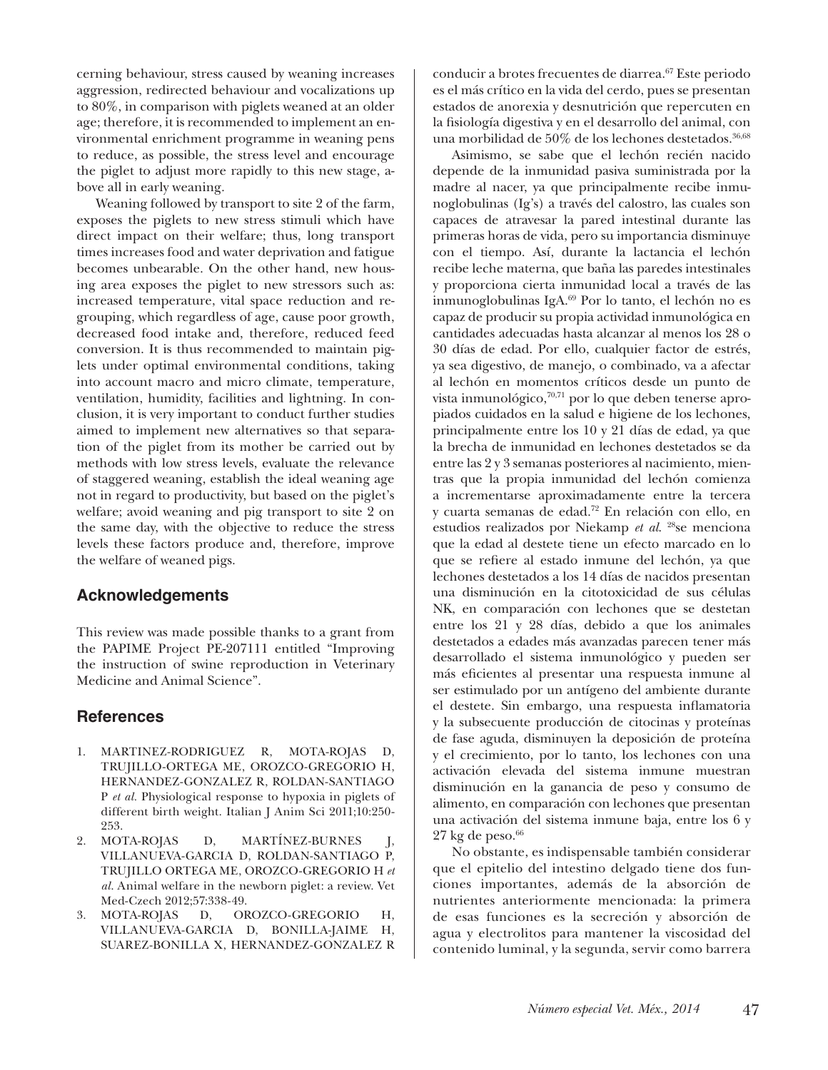cerning behaviour, stress caused by weaning increases aggression, redirected behaviour and vocalizations up to 80%, in comparison with piglets weaned at an older age; therefore, it is recommended to implement an environmental enrichment programme in weaning pens to reduce, as possible, the stress level and encourage the piglet to adjust more rapidly to this new stage, above all in early weaning.

Weaning followed by transport to site 2 of the farm, exposes the piglets to new stress stimuli which have direct impact on their welfare; thus, long transport times increases food and water deprivation and fatigue becomes unbearable. On the other hand, new housing area exposes the piglet to new stressors such as: increased temperature, vital space reduction and regrouping, which regardless of age, cause poor growth, decreased food intake and, therefore, reduced feed conversion. It is thus recommended to maintain piglets under optimal environmental conditions, taking into account macro and micro climate, temperature, ventilation, humidity, facilities and lightning. In conclusion, it is very important to conduct further studies aimed to implement new alternatives so that separation of the piglet from its mother be carried out by methods with low stress levels, evaluate the relevance of staggered weaning, establish the ideal weaning age not in regard to productivity, but based on the piglet's welfare; avoid weaning and pig transport to site 2 on the same day, with the objective to reduce the stress levels these factors produce and, therefore, improve the welfare of weaned pigs.

### **Acknowledgements**

This review was made possible thanks to a grant from the PAPIME Project PE-207111 entitled "Improving the instruction of swine reproduction in Veterinary Medicine and Animal Science".

### **References**

- 1. MARTINEZ-RODRIGUEZ R, MOTA-ROJAS TRUJILLO-ORTEGA ME, OROZCO-GREGORIO H, HERNANDEZ-GONZALEZ R, ROLDAN-SANTIAGO P *et al.* Physiological response to hypoxia in piglets of different birth weight. Italian J Anim Sci 2011;10:250- 253.
- 2. MOTA-ROJAS D, MARTÍNEZ-BURNES J, VILLANUEVA-GARCIA D, ROLDAN-SANTIAGO P, TRUJILLO ORTEGA ME, OROZCO-GREGORIO H *et al*. Animal welfare in the newborn piglet: a review. Vet Med-Czech 2012;57:338-49.
- 3. MOTA-ROJAS D, OROZCO-GREGORIO H, VILLANUEVA-GARCIA D, BONILLA-JAIME H, SUAREZ-BONILLA X, HERNANDEZ-GONZALEZ R

conducir a brotes frecuentes de diarrea.67 Este periodo es el más crítico en la vida del cerdo, pues se presentan estados de anorexia y desnutrición que repercuten en la fsiología digestiva y en el desarrollo del animal, con una morbilidad de  $50\%$  de los lechones destetados.<sup>36,68</sup>

Asimismo, se sabe que el lechón recién nacido depende de la inmunidad pasiva suministrada por la madre al nacer, ya que principalmente recibe inmunoglobulinas (Ig's) a través del calostro, las cuales son capaces de atravesar la pared intestinal durante las primeras horas de vida, pero su importancia disminuye con el tiempo. Así, durante la lactancia el lechón recibe leche materna, que baña las paredes intestinales y proporciona cierta inmunidad local a través de las inmunoglobulinas IgA.69 Por lo tanto, el lechón no es capaz de producir su propia actividad inmunológica en cantidades adecuadas hasta alcanzar al menos los 28 o 30 días de edad. Por ello, cualquier factor de estrés, ya sea digestivo, de manejo, o combinado, va a afectar al lechón en momentos críticos desde un punto de vista inmunológico, $70,71$  por lo que deben tenerse apropiados cuidados en la salud e higiene de los lechones, principalmente entre los 10 y 21 días de edad, ya que la brecha de inmunidad en lechones destetados se da entre las 2 y 3 semanas posteriores al nacimiento, mientras que la propia inmunidad del lechón comienza a incrementarse aproximadamente entre la tercera y cuarta semanas de edad.72 En relación con ello, en estudios realizados por Niekamp *et al*. 28se menciona que la edad al destete tiene un efecto marcado en lo que se refere al estado inmune del lechón, ya que lechones destetados a los 14 días de nacidos presentan una disminución en la citotoxicidad de sus células NK, en comparación con lechones que se destetan entre los 21 y 28 días, debido a que los animales destetados a edades más avanzadas parecen tener más desarrollado el sistema inmunológico y pueden ser más efcientes al presentar una respuesta inmune al ser estimulado por un antígeno del ambiente durante el destete. Sin embargo, una respuesta infamatoria y la subsecuente producción de citocinas y proteínas de fase aguda, disminuyen la deposición de proteína y el crecimiento, por lo tanto, los lechones con una activación elevada del sistema inmune muestran disminución en la ganancia de peso y consumo de alimento, en comparación con lechones que presentan una activación del sistema inmune baja, entre los 6 y  $27 \text{ kg}$  de peso.<sup>66</sup>

No obstante, es indispensable también considerar que el epitelio del intestino delgado tiene dos funciones importantes, además de la absorción de nutrientes anteriormente mencionada: la primera de esas funciones es la secreción y absorción de agua y electrolitos para mantener la viscosidad del contenido luminal, y la segunda, servir como barrera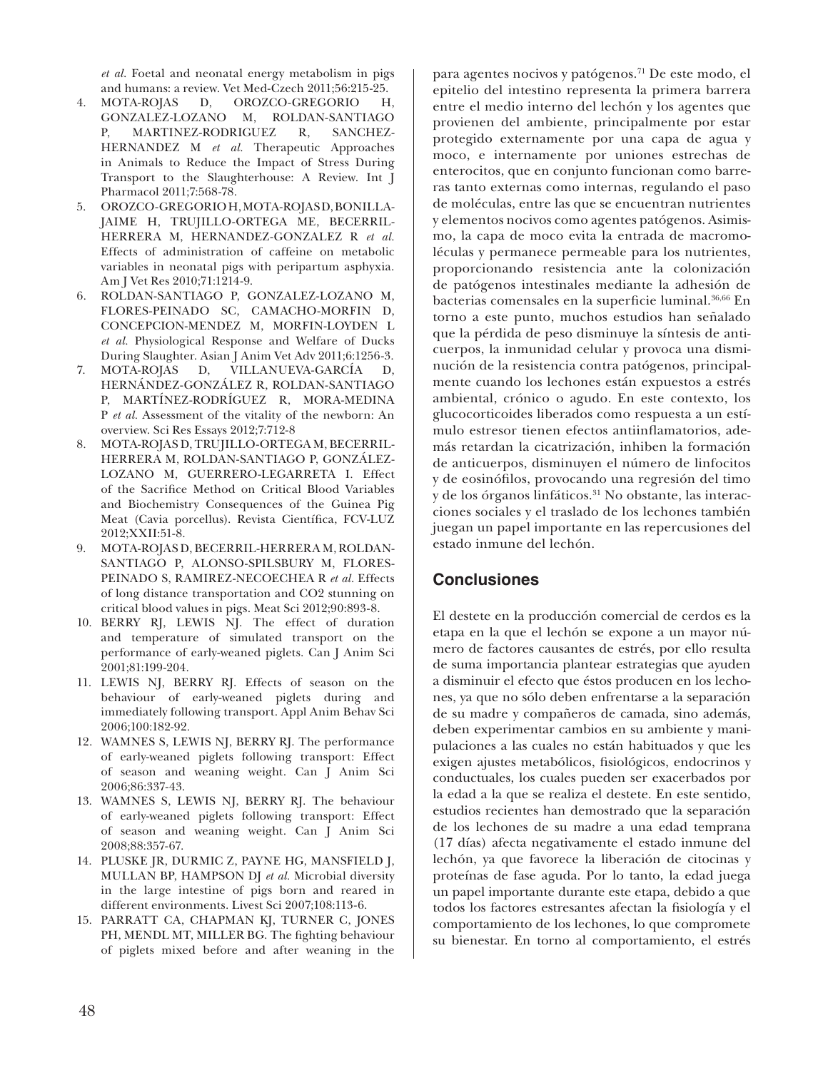*et al*. Foetal and neonatal energy metabolism in pigs and humans: a review. Vet Med-Czech 2011;56:215-25.

- MOTA-ROJAS D, OROZCO-GREGORIO H, GONZALEZ-LOZANO M, ROLDAN-SANTIAGO P, MARTINEZ-RODRIGUEZ R, SANCHEZ-HERNANDEZ M *et al.* Therapeutic Approaches in Animals to Reduce the Impact of Stress During Transport to the Slaughterhouse: A Review. Int J Pharmacol 2011;7:568-78.
- 5. OROZCO-GREGORIO H, MOTA-ROJAS D, BONILLA-JAIME H, TRUJILLO-ORTEGA ME, BECERRIL-HERRERA M, HERNANDEZ-GONZALEZ R *et al.*  Effects of administration of caffeine on metabolic variables in neonatal pigs with peripartum asphyxia. Am J Vet Res 2010;71:1214-9.
- 6. ROLDAN-SANTIAGO P, GONZALEZ-LOZANO M, FLORES-PEINADO SC, CAMACHO-MORFIN D, CONCEPCION-MENDEZ M, MORFIN-LOYDEN L *et al.* Physiological Response and Welfare of Ducks During Slaughter. Asian J Anim Vet Adv 2011;6:1256-3.
- 7. MOTA-ROJAS D, VILLANUEVA-GARCÍA D, HERNÁNDEZ-GONZÁLEZ R, ROLDAN-SANTIAGO P, MARTÍNEZ-RODRÍGUEZ R, MORA-MEDINA P *et al.* Assessment of the vitality of the newborn: An overview. Sci Res Essays 2012;7:712-8
- 8. MOTA-ROJAS D, TRUJILLO-ORTEGA M, BECERRIL-HERRERA M, ROLDAN-SANTIAGO P, GONZÁLEZ-LOZANO M, GUERRERO-LEGARRETA I. Effect of the Sacrifce Method on Critical Blood Variables and Biochemistry Consequences of the Guinea Pig Meat (Cavia porcellus). Revista Científica, FCV-LUZ 2012;XXII:51-8.
- 9. MOTA-ROJAS D, BECERRIL-HERRERA M, ROLDAN-SANTIAGO P, ALONSO-SPILSBURY M, FLORES-PEINADO S, RAMIREZ-NECOECHEA R *et al.* Effects of long distance transportation and CO2 stunning on critical blood values in pigs. Meat Sci 2012;90:893-8.
- 10. BERRY RJ, LEWIS NJ. The effect of duration and temperature of simulated transport on the performance of early-weaned piglets. Can J Anim Sci 2001;81:199-204.
- 11. LEWIS NJ, BERRY RJ. Effects of season on the behaviour of early-weaned piglets during and immediately following transport. Appl Anim Behav Sci 2006;100:182-92.
- 12. WAMNES S, LEWIS NJ, BERRY RJ. The performance of early-weaned piglets following transport: Effect of season and weaning weight. Can J Anim Sci 2006;86:337-43.
- 13. WAMNES S, LEWIS NJ, BERRY RJ. The behaviour of early-weaned piglets following transport: Effect of season and weaning weight. Can J Anim Sci 2008;88:357-67.
- 14. PLUSKE JR, DURMIC Z, PAYNE HG, MANSFIELD J, MULLAN BP, HAMPSON DJ *et al.* Microbial diversity in the large intestine of pigs born and reared in different environments. Livest Sci 2007;108:113-6.
- 15. PARRATT CA, CHAPMAN KJ, TURNER C, JONES PH, MENDL MT, MILLER BG. The fghting behaviour of piglets mixed before and after weaning in the

para agentes nocivos y patógenos.<sup>71</sup> De este modo, el epitelio del intestino representa la primera barrera entre el medio interno del lechón y los agentes que provienen del ambiente, principalmente por estar protegido externamente por una capa de agua y moco, e internamente por uniones estrechas de enterocitos, que en conjunto funcionan como barreras tanto externas como internas, regulando el paso de moléculas, entre las que se encuentran nutrientes y elementos nocivos como agentes patógenos. Asimismo, la capa de moco evita la entrada de macromoléculas y permanece permeable para los nutrientes, proporcionando resistencia ante la colonización de patógenos intestinales mediante la adhesión de bacterias comensales en la superficie luminal.<sup>36,66</sup> En torno a este punto, muchos estudios han señalado que la pérdida de peso disminuye la síntesis de anticuerpos, la inmunidad celular y provoca una disminución de la resistencia contra patógenos, principalmente cuando los lechones están expuestos a estrés ambiental, crónico o agudo. En este contexto, los glucocorticoides liberados como respuesta a un estímulo estresor tienen efectos antiinfamatorios, además retardan la cicatrización, inhiben la formación de anticuerpos, disminuyen el número de linfocitos y de eosinóflos, provocando una regresión del timo y de los órganos linfáticos.<sup>31</sup> No obstante, las interacciones sociales y el traslado de los lechones también juegan un papel importante en las repercusiones del estado inmune del lechón.

## **Conclusiones**

El destete en la producción comercial de cerdos es la etapa en la que el lechón se expone a un mayor número de factores causantes de estrés, por ello resulta de suma importancia plantear estrategias que ayuden a disminuir el efecto que éstos producen en los lechones, ya que no sólo deben enfrentarse a la separación de su madre y compañeros de camada, sino además, deben experimentar cambios en su ambiente y manipulaciones a las cuales no están habituados y que les exigen ajustes metabólicos, fsiológicos, endocrinos y conductuales, los cuales pueden ser exacerbados por la edad a la que se realiza el destete. En este sentido, estudios recientes han demostrado que la separación de los lechones de su madre a una edad temprana (17 días) afecta negativamente el estado inmune del lechón, ya que favorece la liberación de citocinas y proteínas de fase aguda. Por lo tanto, la edad juega un papel importante durante este etapa, debido a que todos los factores estresantes afectan la fsiología y el comportamiento de los lechones, lo que compromete su bienestar. En torno al comportamiento, el estrés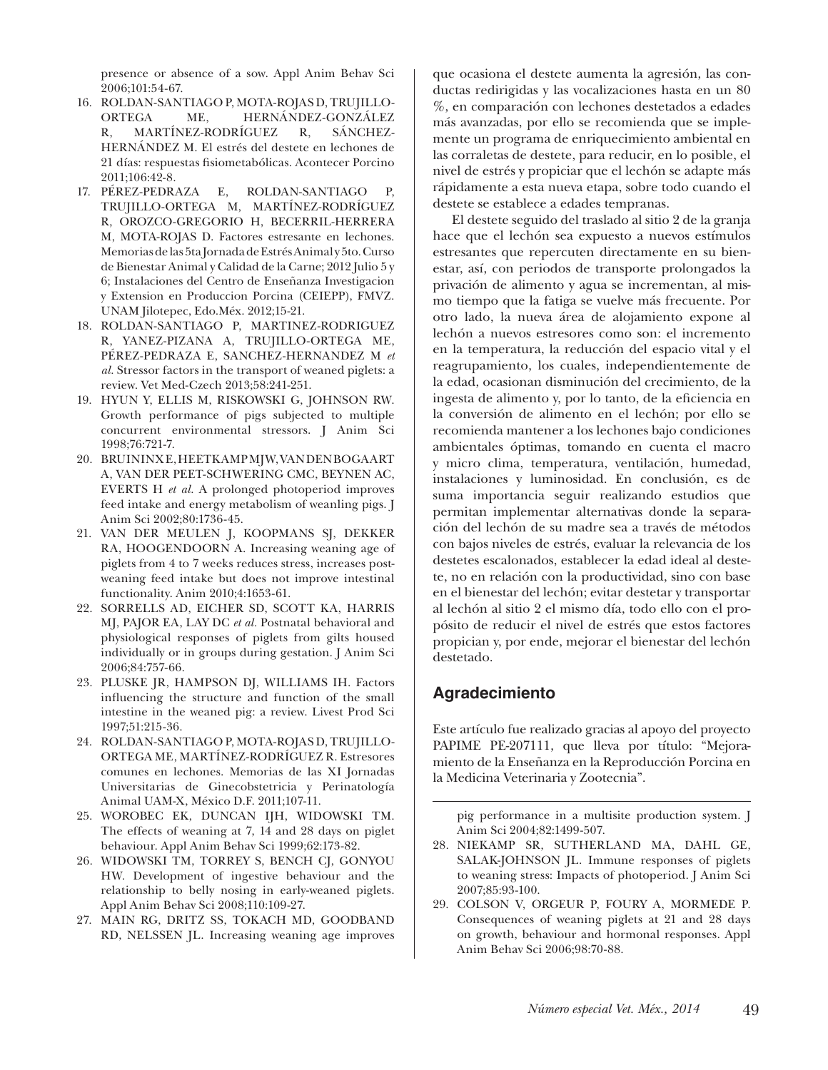presence or absence of a sow. Appl Anim Behav Sci 2006;101:54-67.

- 16. ROLDAN-SANTIAGO P, MOTA-ROJAS D, TRUJILLO-ORTEGA ME, HERNÁNDEZ-GONZÁLEZ R, MARTÍNEZ-RODRÍGUEZ R, SÁNCHEZ-HERNÁNDEZ M. El estrés del destete en lechones de 21 días: respuestas fsiometabólicas. Acontecer Porcino 2011;106:42-8.
- 17. PÉREZ-PEDRAZA E, ROLDAN-SANTIAGO P, TRUJILLO-ORTEGA M, MARTÍNEZ-RODRÍGUEZ R, OROZCO-GREGORIO H, BECERRIL-HERRERA M, MOTA-ROJAS D. Factores estresante en lechones. Memorias de las 5ta Jornada de Estrés Animal y 5to. Curso de Bienestar Animal y Calidad de la Carne; 2012 Julio 5 y 6; Instalaciones del Centro de Enseñanza Investigacion y Extension en Produccion Porcina (CEIEPP), FMVZ. UNAM Jilotepec, Edo.Méx. 2012;15-21.
- 18. ROLDAN-SANTIAGO P, MARTINEZ-RODRIGUEZ R, YANEZ-PIZANA A, TRUJILLO-ORTEGA ME, PÉREZ-PEDRAZA E, SANCHEZ-HERNANDEZ M *et al.* Stressor factors in the transport of weaned piglets: a review. Vet Med-Czech 2013;58:241-251.
- 19. HYUN Y, ELLIS M, RISKOWSKI G, JOHNSON RW. Growth performance of pigs subjected to multiple concurrent environmental stressors. J Anim Sci 1998;76:721-7.
- 20. BRUININX E, HEETKAMP MJW, VAN DEN BOGAART A, VAN DER PEET-SCHWERING CMC, BEYNEN AC, EVERTS H *et al.* A prolonged photoperiod improves feed intake and energy metabolism of weanling pigs. J Anim Sci 2002;80:1736-45.
- 21. VAN DER MEULEN J, KOOPMANS SJ, DEKKER RA, HOOGENDOORN A. Increasing weaning age of piglets from 4 to 7 weeks reduces stress, increases postweaning feed intake but does not improve intestinal functionality. Anim 2010;4:1653-61.
- 22. SORRELLS AD, EICHER SD, SCOTT KA, HARRIS MJ, PAJOR EA, LAY DC *et al.* Postnatal behavioral and physiological responses of piglets from gilts housed individually or in groups during gestation. J Anim Sci 2006;84:757-66.
- 23. PLUSKE JR, HAMPSON DJ, WILLIAMS IH. Factors infuencing the structure and function of the small intestine in the weaned pig: a review. Livest Prod Sci 1997;51:215-36.
- 24. ROLDAN-SANTIAGO P, MOTA-ROJAS D, TRUJILLO-ORTEGA ME, MARTÍNEZ-RODRÍGUEZ R. Estresores comunes en lechones. Memorias de las XI Jornadas Universitarias de Ginecobstetricia y Perinatología Animal UAM-X, México D.F. 2011;107-11.
- 25. WOROBEC EK, DUNCAN IJH, WIDOWSKI TM. The effects of weaning at 7, 14 and 28 days on piglet behaviour. Appl Anim Behav Sci 1999;62:173-82.
- 26. WIDOWSKI TM, TORREY S, BENCH CJ, GONYOU HW. Development of ingestive behaviour and the relationship to belly nosing in early-weaned piglets. Appl Anim Behav Sci 2008;110:109-27.
- 27. MAIN RG, DRITZ SS, TOKACH MD, GOODBAND RD, NELSSEN JL. Increasing weaning age improves

que ocasiona el destete aumenta la agresión, las conductas redirigidas y las vocalizaciones hasta en un 80 %, en comparación con lechones destetados a edades más avanzadas, por ello se recomienda que se implemente un programa de enriquecimiento ambiental en las corraletas de destete, para reducir, en lo posible, el nivel de estrés y propiciar que el lechón se adapte más rápidamente a esta nueva etapa, sobre todo cuando el destete se establece a edades tempranas.

El destete seguido del traslado al sitio 2 de la granja hace que el lechón sea expuesto a nuevos estímulos estresantes que repercuten directamente en su bienestar, así, con periodos de transporte prolongados la privación de alimento y agua se incrementan, al mismo tiempo que la fatiga se vuelve más frecuente. Por otro lado, la nueva área de alojamiento expone al lechón a nuevos estresores como son: el incremento en la temperatura, la reducción del espacio vital y el reagrupamiento, los cuales, independientemente de la edad, ocasionan disminución del crecimiento, de la ingesta de alimento y, por lo tanto, de la efciencia en la conversión de alimento en el lechón; por ello se recomienda mantener a los lechones bajo condiciones ambientales óptimas, tomando en cuenta el macro y micro clima, temperatura, ventilación, humedad, instalaciones y luminosidad. En conclusión, es de suma importancia seguir realizando estudios que permitan implementar alternativas donde la separación del lechón de su madre sea a través de métodos con bajos niveles de estrés, evaluar la relevancia de los destetes escalonados, establecer la edad ideal al destete, no en relación con la productividad, sino con base en el bienestar del lechón; evitar destetar y transportar al lechón al sitio 2 el mismo día, todo ello con el propósito de reducir el nivel de estrés que estos factores propician y, por ende, mejorar el bienestar del lechón destetado.

### **Agradecimiento**

Este artículo fue realizado gracias al apoyo del proyecto PAPIME PE-207111, que lleva por título: "Mejoramiento de la Enseñanza en la Reproducción Porcina en la Medicina Veterinaria y Zootecnia".

pig performance in a multisite production system. J Anim Sci 2004;82:1499-507.

- 28. NIEKAMP SR, SUTHERLAND MA, DAHL GE, SALAK-JOHNSON JL. Immune responses of piglets to weaning stress: Impacts of photoperiod. J Anim Sci 2007;85:93-100.
- 29. COLSON V, ORGEUR P, FOURY A, MORMEDE P. Consequences of weaning piglets at 21 and 28 days on growth, behaviour and hormonal responses. Appl Anim Behav Sci 2006;98:70-88.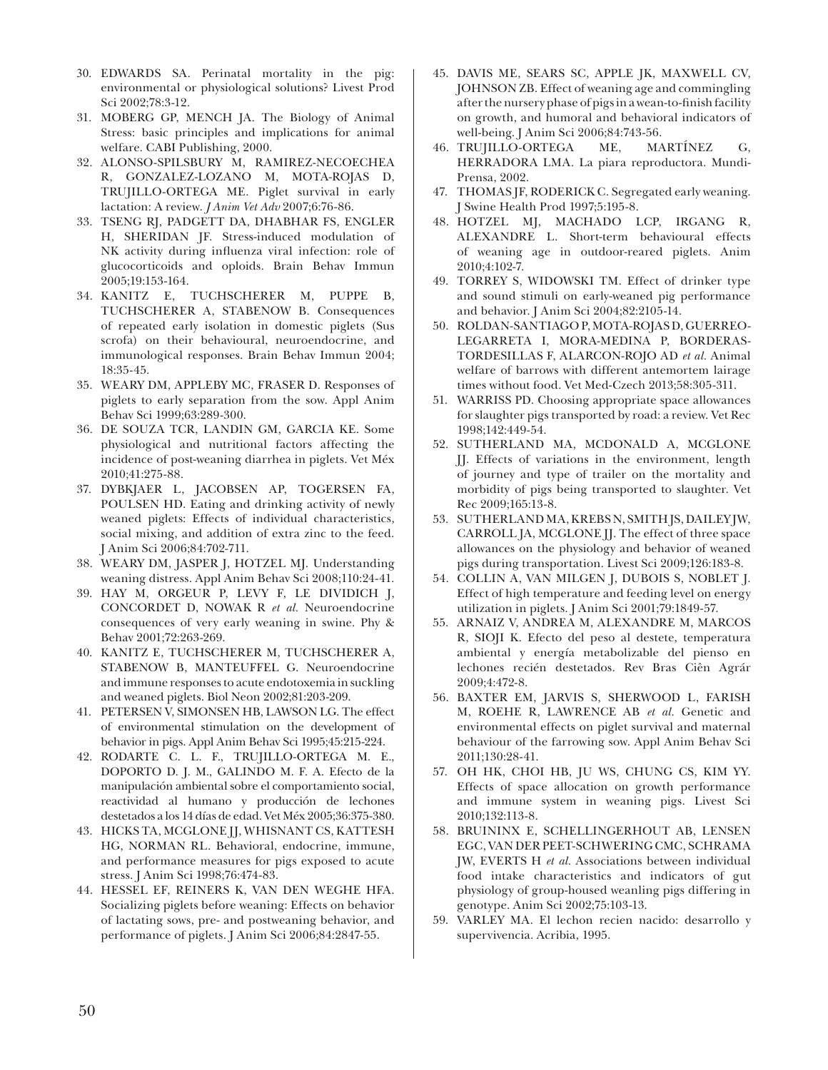- 30. EDWARDS SA. Perinatal mortality in the pig: environmental or physiological solutions? Livest Prod Sci 2002;78:3-12.
- 31. MOBERG GP, MENCH JA. The Biology of Animal Stress: basic principles and implications for animal welfare. CABI Publishing, 2000.
- 32. ALONSO-SPILSBURY M, RAMIREZ-NECOECHEA R, GONZALEZ-LOZANO M, MOTA-ROJAS D, TRUJILLO-ORTEGA ME. Piglet survival in early lactation: A review. *J Anim Vet Adv* 2007;6:76-86.
- 33. TSENG RJ, PADGETT DA, DHABHAR FS, ENGLER H, SHERIDAN JF. Stress-induced modulation of NK activity during infuenza viral infection: role of glucocorticoids and oploids. Brain Behav Immun 2005;19:153-164.
- 34. KANITZ E, TUCHSCHERER M, PUPPE B, TUCHSCHERER A, STABENOW B. Consequences of repeated early isolation in domestic piglets (Sus scrofa) on their behavioural, neuroendocrine, and immunological responses. Brain Behav Immun 2004; 18:35-45.
- 35. WEARY DM, APPLEBY MC, FRASER D. Responses of piglets to early separation from the sow. Appl Anim Behav Sci 1999;63:289-300.
- 36. DE SOUZA TCR, LANDIN GM, GARCIA KE. Some physiological and nutritional factors affecting the incidence of post-weaning diarrhea in piglets. Vet Méx 2010;41:275-88.
- 37. DYBKJAER L, JACOBSEN AP, TOGERSEN FA, POULSEN HD. Eating and drinking activity of newly weaned piglets: Effects of individual characteristics, social mixing, and addition of extra zinc to the feed. J Anim Sci 2006;84:702-711.
- 38. WEARY DM, JASPER J, HOTZEL MJ. Understanding weaning distress. Appl Anim Behav Sci 2008;110:24-41.
- 39. HAY M, ORGEUR P, LEVY F, LE DIVIDICH J, CONCORDET D, NOWAK R *et al.* Neuroendocrine consequences of very early weaning in swine. Phy & Behav 2001;72:263-269.
- 40. KANITZ E, TUCHSCHERER M, TUCHSCHERER A, STABENOW B, MANTEUFFEL G. Neuroendocrine and immune responses to acute endotoxemia in suckling and weaned piglets. Biol Neon 2002;81:203-209.
- 41. PETERSEN V, SIMONSEN HB, LAWSON LG. The effect of environmental stimulation on the development of behavior in pigs. Appl Anim Behav Sci 1995;45:215-224.
- 42. RODARTE C. L. F., TRUJILLO-ORTEGA M. E., DOPORTO D. J. M., GALINDO M. F. A. Efecto de la manipulación ambiental sobre el comportamiento social, reactividad al humano y producción de lechones destetados a los 14 días de edad. Vet Méx 2005;36:375-380.
- 43. HICKS TA, MCGLONE JJ, WHISNANT CS, KATTESH HG, NORMAN RL. Behavioral, endocrine, immune, and performance measures for pigs exposed to acute stress. J Anim Sci 1998;76:474-83.
- 44. HESSEL EF, REINERS K, VAN DEN WEGHE HFA. Socializing piglets before weaning: Effects on behavior of lactating sows, pre- and postweaning behavior, and performance of piglets. J Anim Sci 2006;84:2847-55.
- 45. DAVIS ME, SEARS SC, APPLE JK, MAXWELL CV, JOHNSON ZB. Effect of weaning age and commingling after the nursery phase of pigs in a wean-to-fnish facility on growth, and humoral and behavioral indicators of well-being. J Anim Sci 2006;84:743-56.
- 46. TRUJILLO-ORTEGA ME, MARTÍNEZ G, HERRADORA LMA. La piara reproductora. Mundi-Prensa, 2002.
- 47. THOMAS JF, RODERICK C. Segregated early weaning. J Swine Health Prod 1997;5:195-8.
- 48. HOTZEL MJ, MACHADO LCP, IRGANG R, ALEXANDRE L. Short-term behavioural effects of weaning age in outdoor-reared piglets. Anim 2010;4:102-7.
- 49. TORREY S, WIDOWSKI TM. Effect of drinker type and sound stimuli on early-weaned pig performance and behavior. J Anim Sci 2004;82:2105-14.
- 50. ROLDAN-SANTIAGO P, MOTA-ROJAS D, GUERREO-LEGARRETA I, MORA-MEDINA P, BORDERAS-TORDESILLAS F, ALARCON-ROJO AD *et al.* Animal welfare of barrows with different antemortem lairage times without food. Vet Med-Czech 2013;58:305-311.
- 51. WARRISS PD. Choosing appropriate space allowances for slaughter pigs transported by road: a review. Vet Rec 1998;142:449-54.
- 52. SUTHERLAND MA, MCDONALD A, MCGLONE JJ. Effects of variations in the environment, length of journey and type of trailer on the mortality and morbidity of pigs being transported to slaughter. Vet Rec 2009;165:13-8.
- 53. SUTHERLAND MA, KREBS N, SMITH JS, DAILEY JW, CARROLL JA, MCGLONE JJ. The effect of three space allowances on the physiology and behavior of weaned pigs during transportation. Livest Sci 2009;126:183-8.
- 54. COLLIN A, VAN MILGEN J, DUBOIS S, NOBLET J. Effect of high temperature and feeding level on energy utilization in piglets. J Anim Sci 2001;79:1849-57.
- 55. ARNAIZ V, ANDREA M, ALEXANDRE M, MARCOS R, SIOJI K. Efecto del peso al destete, temperatura ambiental y energía metabolizable del pienso en lechones recién destetados. Rev Bras Ciên Agrár 2009;4:472-8.
- 56. BAXTER EM, JARVIS S, SHERWOOD L, FARISH M, ROEHE R, LAWRENCE AB *et al.* Genetic and environmental effects on piglet survival and maternal behaviour of the farrowing sow. Appl Anim Behav Sci 2011;130:28-41.
- 57. OH HK, CHOI HB, JU WS, CHUNG CS, KIM YY. Effects of space allocation on growth performance and immune system in weaning pigs. Livest Sci 2010;132:113-8.
- 58. BRUININX E, SCHELLINGERHOUT AB, LENSEN EGC, VAN DER PEET-SCHWERING CMC, SCHRAMA JW, EVERTS H *et al.* Associations between individual food intake characteristics and indicators of gut physiology of group-housed weanling pigs differing in genotype. Anim Sci 2002;75:103-13.
- 59. VARLEY MA. El lechon recien nacido: desarrollo y supervivencia. Acribia, 1995.